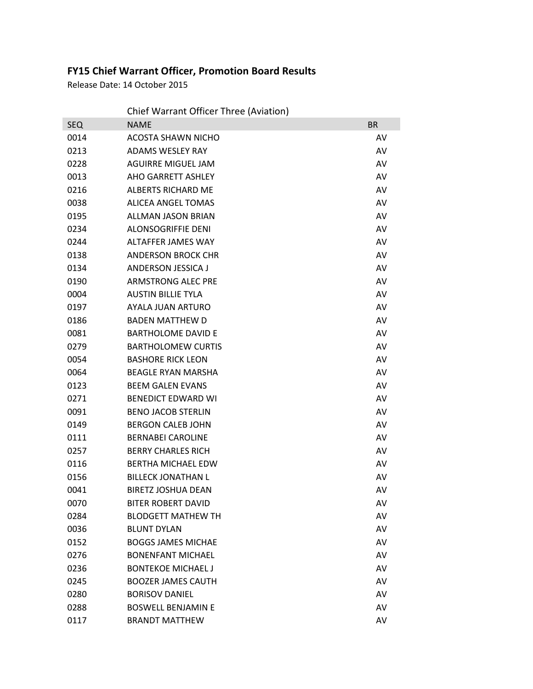## **FY15 Chief Warrant Officer, Promotion Board Results**

Release Date: 14 October 2015

|            | Chief Warrant Officer Three (Aviation) |           |
|------------|----------------------------------------|-----------|
| <b>SEQ</b> | <b>NAME</b>                            | <b>BR</b> |
| 0014       | <b>ACOSTA SHAWN NICHO</b>              | AV        |
| 0213       | <b>ADAMS WESLEY RAY</b>                | AV        |
| 0228       | <b>AGUIRRE MIGUEL JAM</b>              | AV        |
| 0013       | AHO GARRETT ASHLEY                     | AV        |
| 0216       | <b>ALBERTS RICHARD ME</b>              | AV        |
| 0038       | <b>ALICEA ANGEL TOMAS</b>              | AV        |
| 0195       | <b>ALLMAN JASON BRIAN</b>              | AV        |
| 0234       | <b>ALONSOGRIFFIE DENI</b>              | AV        |
| 0244       | ALTAFFER JAMES WAY                     | AV        |
| 0138       | <b>ANDERSON BROCK CHR</b>              | AV        |
| 0134       | <b>ANDERSON JESSICA J</b>              | AV        |
| 0190       | <b>ARMSTRONG ALEC PRE</b>              | AV        |
| 0004       | <b>AUSTIN BILLIE TYLA</b>              | AV        |
| 0197       | AYALA JUAN ARTURO                      | AV        |
| 0186       | <b>BADEN MATTHEW D</b>                 | AV        |
| 0081       | <b>BARTHOLOME DAVID E</b>              | AV        |
| 0279       | <b>BARTHOLOMEW CURTIS</b>              | AV        |
| 0054       | <b>BASHORE RICK LEON</b>               | AV        |
| 0064       | <b>BEAGLE RYAN MARSHA</b>              | AV        |
| 0123       | <b>BEEM GALEN EVANS</b>                | AV        |
| 0271       | <b>BENEDICT EDWARD WI</b>              | AV        |
| 0091       | <b>BENO JACOB STERLIN</b>              | AV        |
| 0149       | <b>BERGON CALEB JOHN</b>               | AV        |
| 0111       | <b>BERNABEI CAROLINE</b>               | AV        |
| 0257       | <b>BERRY CHARLES RICH</b>              | AV        |
| 0116       | <b>BERTHA MICHAEL EDW</b>              | AV        |
| 0156       | <b>BILLECK JONATHAN L</b>              | AV        |
| 0041       | <b>BIRETZ JOSHUA DEAN</b>              | AV        |
| 0070       | <b>BITER ROBERT DAVID</b>              | AV        |
| 0284       | <b>BLODGETT MATHEW TH</b>              | AV        |
| 0036       | <b>BLUNT DYLAN</b>                     | AV        |
| 0152       | <b>BOGGS JAMES MICHAE</b>              | AV        |
| 0276       | <b>BONENFANT MICHAEL</b>               | AV        |
| 0236       | <b>BONTEKOE MICHAEL J</b>              | AV        |
| 0245       | <b>BOOZER JAMES CAUTH</b>              | AV        |
| 0280       | <b>BORISOV DANIEL</b>                  | AV        |
| 0288       | <b>BOSWELL BENJAMIN E</b>              | AV        |
| 0117       | <b>BRANDT MATTHEW</b>                  | AV        |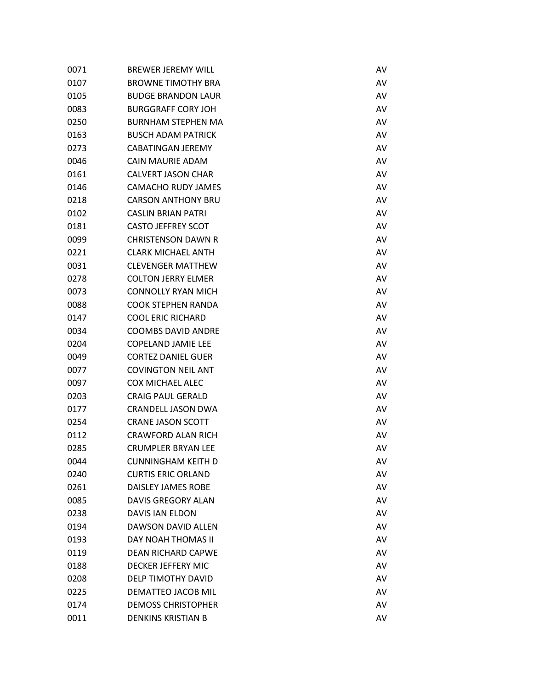| 0071 | <b>BREWER JEREMY WILL</b> | AV |
|------|---------------------------|----|
| 0107 | <b>BROWNE TIMOTHY BRA</b> | AV |
| 0105 | <b>BUDGE BRANDON LAUR</b> | AV |
| 0083 | <b>BURGGRAFF CORY JOH</b> | AV |
| 0250 | <b>BURNHAM STEPHEN MA</b> | AV |
| 0163 | <b>BUSCH ADAM PATRICK</b> | AV |
| 0273 | <b>CABATINGAN JEREMY</b>  | AV |
| 0046 | CAIN MAURIE ADAM          | AV |
| 0161 | <b>CALVERT JASON CHAR</b> | AV |
| 0146 | <b>CAMACHO RUDY JAMES</b> | AV |
| 0218 | <b>CARSON ANTHONY BRU</b> | AV |
| 0102 | <b>CASLIN BRIAN PATRI</b> | AV |
| 0181 | <b>CASTO JEFFREY SCOT</b> | AV |
| 0099 | <b>CHRISTENSON DAWN R</b> | AV |
| 0221 | <b>CLARK MICHAEL ANTH</b> | AV |
| 0031 | <b>CLEVENGER MATTHEW</b>  | AV |
| 0278 | <b>COLTON JERRY ELMER</b> | AV |
| 0073 | <b>CONNOLLY RYAN MICH</b> | AV |
| 0088 | <b>COOK STEPHEN RANDA</b> | AV |
| 0147 | <b>COOL ERIC RICHARD</b>  | AV |
| 0034 | <b>COOMBS DAVID ANDRE</b> | AV |
| 0204 | <b>COPELAND JAMIE LEE</b> | AV |
| 0049 | <b>CORTEZ DANIEL GUER</b> | AV |
| 0077 | <b>COVINGTON NEIL ANT</b> | AV |
| 0097 | <b>COX MICHAEL ALEC</b>   | AV |
| 0203 | <b>CRAIG PAUL GERALD</b>  | AV |
| 0177 | <b>CRANDELL JASON DWA</b> | AV |
| 0254 | <b>CRANE JASON SCOTT</b>  | AV |
| 0112 | <b>CRAWFORD ALAN RICH</b> | AV |
| 0285 | <b>CRUMPLER BRYAN LEE</b> | AV |
| 0044 | CUNNINGHAM KEITH D        | AV |
| 0240 | <b>CURTIS ERIC ORLAND</b> | AV |
| 0261 | <b>DAISLEY JAMES ROBE</b> | AV |
| 0085 | <b>DAVIS GREGORY ALAN</b> | AV |
| 0238 | <b>DAVIS IAN ELDON</b>    | AV |
| 0194 | DAWSON DAVID ALLEN        | AV |
| 0193 | DAY NOAH THOMAS II        | AV |
| 0119 | <b>DEAN RICHARD CAPWE</b> | AV |
| 0188 | <b>DECKER JEFFERY MIC</b> | AV |
| 0208 | DELP TIMOTHY DAVID        | AV |
| 0225 | DEMATTEO JACOB MIL        | AV |
| 0174 | <b>DEMOSS CHRISTOPHER</b> | AV |
| 0011 | <b>DENKINS KRISTIAN B</b> | AV |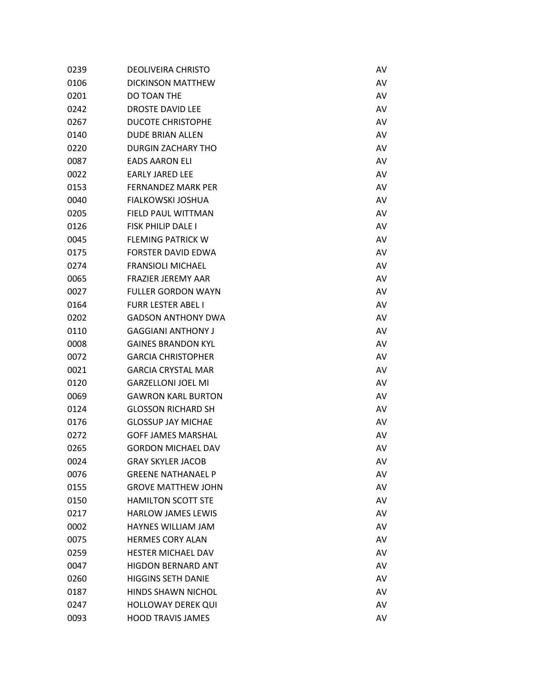| 0239 | <b>DEOLIVEIRA CHRISTO</b> | AV |
|------|---------------------------|----|
| 0106 | <b>DICKINSON MATTHEW</b>  | AV |
| 0201 | DO TOAN THE               | AV |
| 0242 | <b>DROSTE DAVID LEE</b>   | AV |
| 0267 | <b>DUCOTE CHRISTOPHE</b>  | AV |
| 0140 | <b>DUDE BRIAN ALLEN</b>   | AV |
| 0220 | <b>DURGIN ZACHARY THO</b> | AV |
| 0087 | <b>EADS AARON ELI</b>     | AV |
| 0022 | <b>EARLY JARED LEE</b>    | AV |
| 0153 | <b>FERNANDEZ MARK PER</b> | AV |
| 0040 | <b>FIALKOWSKI JOSHUA</b>  | AV |
| 0205 | FIELD PAUL WITTMAN        | AV |
| 0126 | <b>FISK PHILIP DALE I</b> | AV |
| 0045 | <b>FLEMING PATRICK W</b>  | AV |
| 0175 | <b>FORSTER DAVID EDWA</b> | AV |
| 0274 | <b>FRANSIOLI MICHAEL</b>  | AV |
| 0065 | <b>FRAZIER JEREMY AAR</b> | AV |
| 0027 | <b>FULLER GORDON WAYN</b> | AV |
| 0164 | <b>FURR LESTER ABEL I</b> | AV |
| 0202 | <b>GADSON ANTHONY DWA</b> | AV |
| 0110 | <b>GAGGIANI ANTHONY J</b> | AV |
| 0008 | <b>GAINES BRANDON KYL</b> | AV |
| 0072 | <b>GARCIA CHRISTOPHER</b> | AV |
| 0021 | <b>GARCIA CRYSTAL MAR</b> | AV |
| 0120 | <b>GARZELLONI JOEL MI</b> | AV |
| 0069 | <b>GAWRON KARL BURTON</b> | AV |
| 0124 | <b>GLOSSON RICHARD SH</b> | AV |
| 0176 | <b>GLOSSUP JAY MICHAE</b> | AV |
| 0272 | <b>GOFF JAMES MARSHAL</b> | AV |
| 0265 | <b>GORDON MICHAEL DAV</b> | AV |
| 0024 | <b>GRAY SKYLER JACOB</b>  | AV |
| 0076 | <b>GREENE NATHANAEL P</b> | AV |
| 0155 | <b>GROVE MATTHEW JOHN</b> | AV |
| 0150 | <b>HAMILTON SCOTT STE</b> | AV |
| 0217 | <b>HARLOW JAMES LEWIS</b> | AV |
| 0002 | <b>HAYNES WILLIAM JAM</b> | AV |
| 0075 | <b>HERMES CORY ALAN</b>   | AV |
| 0259 | <b>HESTER MICHAEL DAV</b> | AV |
| 0047 | <b>HIGDON BERNARD ANT</b> | AV |
| 0260 | <b>HIGGINS SETH DANIE</b> | AV |
| 0187 | <b>HINDS SHAWN NICHOL</b> | AV |
| 0247 | <b>HOLLOWAY DEREK QUI</b> | AV |
| 0093 | <b>HOOD TRAVIS JAMES</b>  | AV |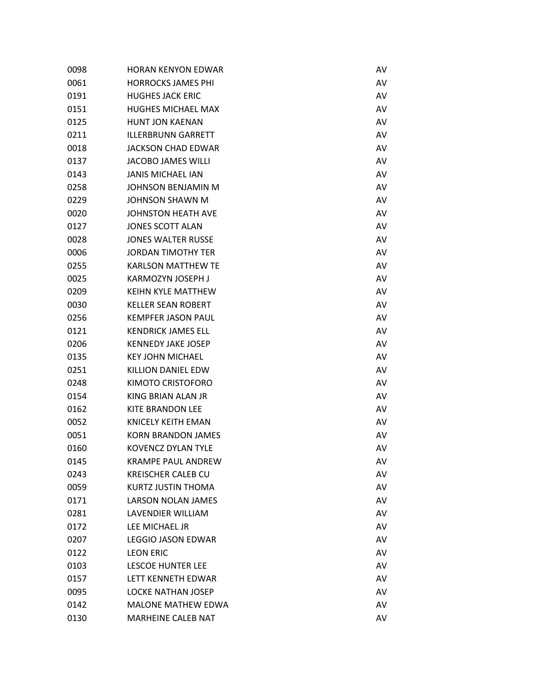| 0098 | <b>HORAN KENYON EDWAR</b> | AV |
|------|---------------------------|----|
| 0061 | <b>HORROCKS JAMES PHI</b> | AV |
| 0191 | <b>HUGHES JACK ERIC</b>   | AV |
| 0151 | <b>HUGHES MICHAEL MAX</b> | AV |
| 0125 | <b>HUNT JON KAENAN</b>    | AV |
| 0211 | <b>ILLERBRUNN GARRETT</b> | AV |
| 0018 | <b>JACKSON CHAD EDWAR</b> | AV |
| 0137 | <b>JACOBO JAMES WILLI</b> | AV |
| 0143 | <b>JANIS MICHAEL IAN</b>  | AV |
| 0258 | <b>JOHNSON BENJAMIN M</b> | AV |
| 0229 | <b>JOHNSON SHAWN M</b>    | AV |
| 0020 | JOHNSTON HEATH AVE        | AV |
| 0127 | <b>JONES SCOTT ALAN</b>   | AV |
| 0028 | <b>JONES WALTER RUSSE</b> | AV |
| 0006 | <b>JORDAN TIMOTHY TER</b> | AV |
| 0255 | <b>KARLSON MATTHEW TE</b> | AV |
| 0025 | KARMOZYN JOSEPH J         | AV |
| 0209 | <b>KEIHN KYLE MATTHEW</b> | AV |
| 0030 | <b>KELLER SEAN ROBERT</b> | AV |
| 0256 | <b>KEMPFER JASON PAUL</b> | AV |
| 0121 | <b>KENDRICK JAMES ELL</b> | AV |
| 0206 | <b>KENNEDY JAKE JOSEP</b> | AV |
| 0135 | <b>KEY JOHN MICHAEL</b>   | AV |
| 0251 | KILLION DANIEL EDW        | AV |
| 0248 | KIMOTO CRISTOFORO         | AV |
| 0154 | KING BRIAN ALAN JR        | AV |
| 0162 | <b>KITE BRANDON LEE</b>   | AV |
| 0052 | <b>KNICELY KEITH EMAN</b> | AV |
| 0051 | <b>KORN BRANDON JAMES</b> | AV |
| 0160 | <b>KOVENCZ DYLAN TYLE</b> | AV |
| 0145 | KRAMPE PAUL ANDREW        | AV |
| 0243 | <b>KREISCHER CALEB CU</b> | AV |
| 0059 | <b>KURTZ JUSTIN THOMA</b> | AV |
| 0171 | LARSON NOLAN JAMES        | AV |
| 0281 | LAVENDIER WILLIAM         | AV |
| 0172 | LEE MICHAEL JR            | AV |
| 0207 | <b>LEGGIO JASON EDWAR</b> | AV |
| 0122 | <b>LEON ERIC</b>          | AV |
| 0103 | <b>LESCOE HUNTER LEE</b>  | AV |
| 0157 | LETT KENNETH EDWAR        | AV |
| 0095 | <b>LOCKE NATHAN JOSEP</b> | AV |
| 0142 | <b>MALONE MATHEW EDWA</b> | AV |
| 0130 | MARHEINE CALEB NAT        | AV |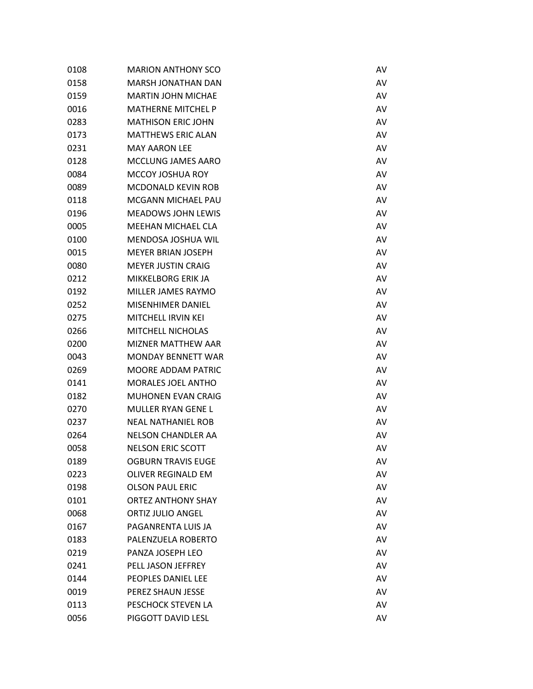| 0108 | <b>MARION ANTHONY SCO</b> | AV |
|------|---------------------------|----|
| 0158 | <b>MARSH JONATHAN DAN</b> | AV |
| 0159 | <b>MARTIN JOHN MICHAE</b> | AV |
| 0016 | <b>MATHERNE MITCHEL P</b> | AV |
| 0283 | <b>MATHISON ERIC JOHN</b> | AV |
| 0173 | <b>MATTHEWS ERIC ALAN</b> | AV |
| 0231 | <b>MAY AARON LEE</b>      | AV |
| 0128 | MCCLUNG JAMES AARO        | AV |
| 0084 | MCCOY JOSHUA ROY          | AV |
| 0089 | <b>MCDONALD KEVIN ROB</b> | AV |
| 0118 | MCGANN MICHAEL PAU        | AV |
| 0196 | <b>MEADOWS JOHN LEWIS</b> | AV |
| 0005 | <b>MEEHAN MICHAEL CLA</b> | AV |
| 0100 | <b>MENDOSA JOSHUA WIL</b> | AV |
| 0015 | <b>MEYER BRIAN JOSEPH</b> | AV |
| 0080 | <b>MEYER JUSTIN CRAIG</b> | AV |
| 0212 | MIKKELBORG ERIK JA        | AV |
| 0192 | MILLER JAMES RAYMO        | AV |
| 0252 | <b>MISENHIMER DANIEL</b>  | AV |
| 0275 | MITCHELL IRVIN KEI        | AV |
| 0266 | <b>MITCHELL NICHOLAS</b>  | AV |
| 0200 | <b>MIZNER MATTHEW AAR</b> | AV |
| 0043 | <b>MONDAY BENNETT WAR</b> | AV |
| 0269 | <b>MOORE ADDAM PATRIC</b> | AV |
| 0141 | <b>MORALES JOEL ANTHO</b> | AV |
| 0182 | <b>MUHONEN EVAN CRAIG</b> | AV |
| 0270 | <b>MULLER RYAN GENE L</b> | AV |
| 0237 | <b>NEAL NATHANIEL ROB</b> | AV |
| 0264 | <b>NELSON CHANDLER AA</b> | AV |
| 0058 | <b>NELSON ERIC SCOTT</b>  | AV |
| 0189 | <b>OGBURN TRAVIS EUGE</b> | AV |
| 0223 | <b>OLIVER REGINALD EM</b> | AV |
| 0198 | <b>OLSON PAUL ERIC</b>    | AV |
| 0101 | <b>ORTEZ ANTHONY SHAY</b> | AV |
| 0068 | <b>ORTIZ JULIO ANGEL</b>  | AV |
| 0167 | PAGANRENTA LUIS JA        | AV |
| 0183 | PALENZUELA ROBERTO        | AV |
| 0219 | PANZA JOSEPH LEO          | AV |
| 0241 | PELL JASON JEFFREY        | AV |
| 0144 | PEOPLES DANIEL LEE        | AV |
| 0019 | PEREZ SHAUN JESSE         | AV |
| 0113 | PESCHOCK STEVEN LA        | AV |
| 0056 | PIGGOTT DAVID LESL        | AV |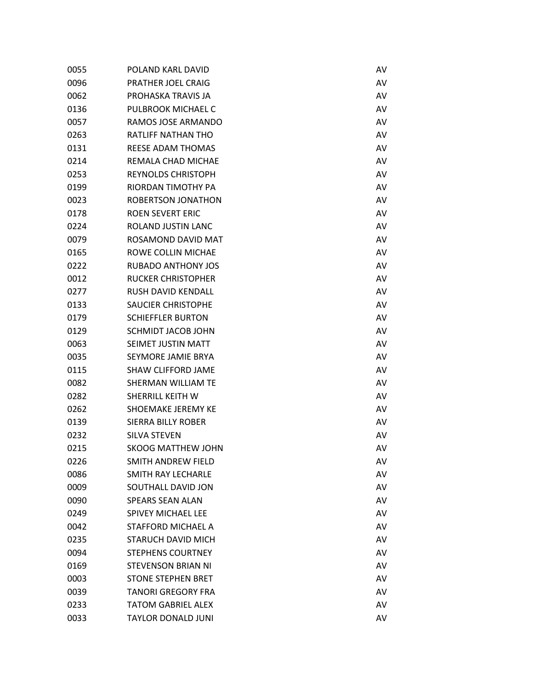| 0055 | POLAND KARL DAVID         | AV |
|------|---------------------------|----|
| 0096 | PRATHER JOEL CRAIG        | AV |
| 0062 | PROHASKA TRAVIS JA        | AV |
| 0136 | PULBROOK MICHAEL C        | AV |
| 0057 | RAMOS JOSE ARMANDO        | AV |
| 0263 | <b>RATLIFF NATHAN THO</b> | AV |
| 0131 | <b>REESE ADAM THOMAS</b>  | AV |
| 0214 | REMALA CHAD MICHAE        | AV |
| 0253 | <b>REYNOLDS CHRISTOPH</b> | AV |
| 0199 | RIORDAN TIMOTHY PA        | AV |
| 0023 | ROBERTSON JONATHON        | AV |
| 0178 | <b>ROEN SEVERT ERIC</b>   | AV |
| 0224 | ROLAND JUSTIN LANC        | AV |
| 0079 | ROSAMOND DAVID MAT        | AV |
| 0165 | ROWE COLLIN MICHAE        | AV |
| 0222 | <b>RUBADO ANTHONY JOS</b> | AV |
| 0012 | <b>RUCKER CHRISTOPHER</b> | AV |
| 0277 | RUSH DAVID KENDALL        | AV |
| 0133 | <b>SAUCIER CHRISTOPHE</b> | AV |
| 0179 | <b>SCHIEFFLER BURTON</b>  | AV |
| 0129 | SCHMIDT JACOB JOHN        | AV |
| 0063 | SEIMET JUSTIN MATT        | AV |
| 0035 | SEYMORE JAMIE BRYA        | AV |
| 0115 | <b>SHAW CLIFFORD JAME</b> | AV |
| 0082 | SHERMAN WILLIAM TE        | AV |
| 0282 | SHERRILL KEITH W          | AV |
| 0262 | SHOEMAKE JEREMY KE        | AV |
| 0139 | SIERRA BILLY ROBER        | AV |
| 0232 | <b>SILVA STEVEN</b>       | AV |
| 0215 | <b>SKOOG MATTHEW JOHN</b> | AV |
| 0226 | SMITH ANDREW FIELD        | AV |
| 0086 | SMITH RAY LECHARLE        | AV |
| 0009 | SOUTHALL DAVID JON        | AV |
| 0090 | <b>SPEARS SEAN ALAN</b>   | AV |
| 0249 | <b>SPIVEY MICHAEL LEE</b> | AV |
| 0042 | <b>STAFFORD MICHAEL A</b> | AV |
| 0235 | <b>STARUCH DAVID MICH</b> | AV |
| 0094 | <b>STEPHENS COURTNEY</b>  | AV |
| 0169 | <b>STEVENSON BRIAN NI</b> | AV |
| 0003 | <b>STONE STEPHEN BRET</b> | AV |
| 0039 | <b>TANORI GREGORY FRA</b> | AV |
| 0233 | <b>TATOM GABRIEL ALEX</b> | AV |
| 0033 | <b>TAYLOR DONALD JUNI</b> | AV |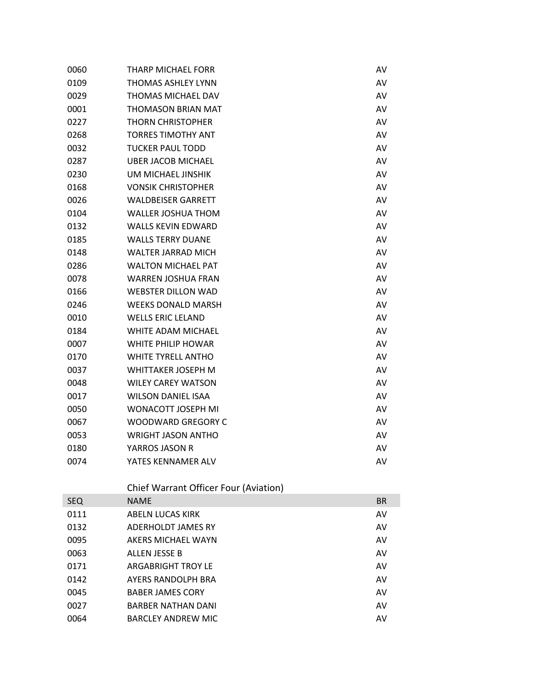| 0060 | THARP MICHAEL FORR        | AV |
|------|---------------------------|----|
| 0109 | <b>THOMAS ASHLEY LYNN</b> | AV |
| 0029 | THOMAS MICHAEL DAV        | AV |
| 0001 | <b>THOMASON BRIAN MAT</b> | AV |
| 0227 | <b>THORN CHRISTOPHER</b>  | AV |
| 0268 | <b>TORRES TIMOTHY ANT</b> | AV |
| 0032 | <b>TUCKER PAUL TODD</b>   | AV |
| 0287 | <b>UBER JACOB MICHAEL</b> | AV |
| 0230 | UM MICHAEL JINSHIK        | AV |
| 0168 | <b>VONSIK CHRISTOPHER</b> | AV |
| 0026 | <b>WALDBEISER GARRETT</b> | AV |
| 0104 | <b>WALLER JOSHUA THOM</b> | AV |
| 0132 | <b>WALLS KEVIN EDWARD</b> | AV |
| 0185 | <b>WALLS TERRY DUANE</b>  | AV |
| 0148 | <b>WALTER JARRAD MICH</b> | AV |
| 0286 | <b>WALTON MICHAEL PAT</b> | AV |
| 0078 | <b>WARREN JOSHUA FRAN</b> | AV |
| 0166 | <b>WEBSTER DILLON WAD</b> | AV |
| 0246 | <b>WEEKS DONALD MARSH</b> | AV |
| 0010 | <b>WELLS ERIC LELAND</b>  | AV |
| 0184 | WHITE ADAM MICHAEL        | AV |
| 0007 | WHITE PHILIP HOWAR        | AV |
| 0170 | <b>WHITE TYRELL ANTHO</b> | AV |
| 0037 | WHITTAKER JOSEPH M        | AV |
| 0048 | <b>WILEY CAREY WATSON</b> | AV |
| 0017 | <b>WILSON DANIEL ISAA</b> | AV |
| 0050 | WONACOTT JOSEPH MI        | AV |
| 0067 | <b>WOODWARD GREGORY C</b> | AV |
| 0053 | <b>WRIGHT JASON ANTHO</b> | AV |
| 0180 | YARROS JASON R            | AV |
| 0074 | YATES KENNAMER ALV        | AV |

## Chief Warrant Officer Four (Aviation)

| <b>SEQ</b> | <b>NAME</b>               | <b>BR</b> |
|------------|---------------------------|-----------|
| 0111       | ABELN LUCAS KIRK          | AV        |
| 0132       | ADERHOLDT JAMES RY        | AV        |
| 0095       | AKERS MICHAEL WAYN        | AV        |
| 0063       | ALLEN JESSE B             | AV        |
| 0171       | ARGABRIGHT TROY LE        | AV        |
| 0142       | AYERS RANDOLPH BRA        | AV        |
| 0045       | <b>BABER JAMES CORY</b>   | AV        |
| 0027       | <b>BARBER NATHAN DANI</b> | AV        |
| 0064       | <b>BARCLEY ANDREW MIC</b> | AV        |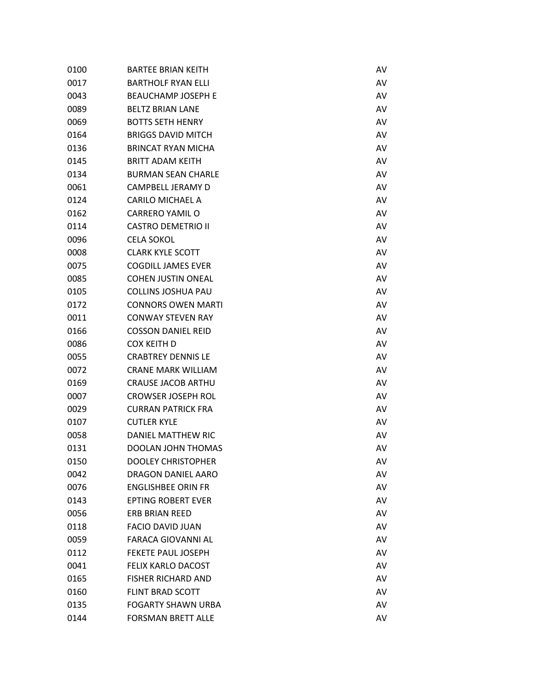| 0100 | <b>BARTEE BRIAN KEITH</b> | AV |
|------|---------------------------|----|
| 0017 | <b>BARTHOLF RYAN ELLI</b> | AV |
| 0043 | <b>BEAUCHAMP JOSEPH E</b> | AV |
| 0089 | <b>BELTZ BRIAN LANE</b>   | AV |
| 0069 | <b>BOTTS SETH HENRY</b>   | AV |
| 0164 | <b>BRIGGS DAVID MITCH</b> | AV |
| 0136 | <b>BRINCAT RYAN MICHA</b> | AV |
| 0145 | <b>BRITT ADAM KEITH</b>   | AV |
| 0134 | <b>BURMAN SEAN CHARLE</b> | AV |
| 0061 | CAMPBELL JERAMY D         | AV |
| 0124 | <b>CARILO MICHAEL A</b>   | AV |
| 0162 | <b>CARRERO YAMIL O</b>    | AV |
| 0114 | <b>CASTRO DEMETRIO II</b> | AV |
| 0096 | <b>CELA SOKOL</b>         | AV |
| 0008 | <b>CLARK KYLE SCOTT</b>   | AV |
| 0075 | <b>COGDILL JAMES EVER</b> | AV |
| 0085 | <b>COHEN JUSTIN ONEAL</b> | AV |
| 0105 | <b>COLLINS JOSHUA PAU</b> | AV |
| 0172 | <b>CONNORS OWEN MARTI</b> | AV |
| 0011 | <b>CONWAY STEVEN RAY</b>  | AV |
| 0166 | <b>COSSON DANIEL REID</b> | AV |
| 0086 | <b>COX KEITH D</b>        | AV |
| 0055 | <b>CRABTREY DENNIS LE</b> | AV |
| 0072 | <b>CRANE MARK WILLIAM</b> | AV |
| 0169 | <b>CRAUSE JACOB ARTHU</b> | AV |
| 0007 | <b>CROWSER JOSEPH ROL</b> | AV |
| 0029 | <b>CURRAN PATRICK FRA</b> | AV |
| 0107 | <b>CUTLER KYLE</b>        | AV |
| 0058 | DANIEL MATTHEW RIC        | AV |
| 0131 | <b>DOOLAN JOHN THOMAS</b> | AV |
| 0150 | <b>DOOLEY CHRISTOPHER</b> | AV |
| 0042 | <b>DRAGON DANIEL AARO</b> | AV |
| 0076 | <b>ENGLISHBEE ORIN FR</b> | AV |
| 0143 | <b>EPTING ROBERT EVER</b> | AV |
| 0056 | <b>ERB BRIAN REED</b>     | AV |
| 0118 | <b>FACIO DAVID JUAN</b>   | AV |
| 0059 | <b>FARACA GIOVANNI AL</b> | AV |
| 0112 | FEKETE PAUL JOSEPH        | AV |
| 0041 | <b>FELIX KARLO DACOST</b> | AV |
| 0165 | <b>FISHER RICHARD AND</b> | AV |
| 0160 | <b>FLINT BRAD SCOTT</b>   | AV |
| 0135 | <b>FOGARTY SHAWN URBA</b> | AV |
| 0144 | <b>FORSMAN BRETT ALLE</b> | AV |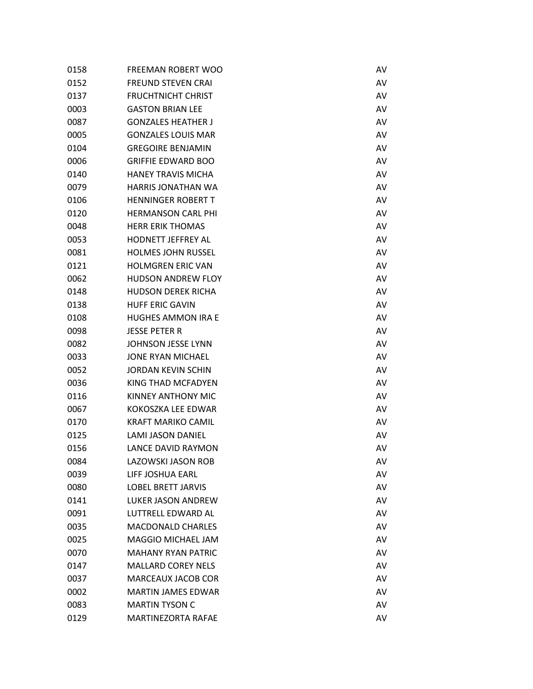| 0158 | <b>FREEMAN ROBERT WOO</b> | AV |
|------|---------------------------|----|
| 0152 | <b>FREUND STEVEN CRAI</b> | AV |
| 0137 | <b>FRUCHTNICHT CHRIST</b> | AV |
| 0003 | <b>GASTON BRIAN LEE</b>   | AV |
| 0087 | <b>GONZALES HEATHER J</b> | AV |
| 0005 | <b>GONZALES LOUIS MAR</b> | AV |
| 0104 | <b>GREGOIRE BENJAMIN</b>  | AV |
| 0006 | <b>GRIFFIE EDWARD BOO</b> | AV |
| 0140 | <b>HANEY TRAVIS MICHA</b> | AV |
| 0079 | <b>HARRIS JONATHAN WA</b> | AV |
| 0106 | <b>HENNINGER ROBERT T</b> | AV |
| 0120 | <b>HERMANSON CARL PHI</b> | AV |
| 0048 | <b>HERR ERIK THOMAS</b>   | AV |
| 0053 | <b>HODNETT JEFFREY AL</b> | AV |
| 0081 | <b>HOLMES JOHN RUSSEL</b> | AV |
| 0121 | <b>HOLMGREN ERIC VAN</b>  | AV |
| 0062 | <b>HUDSON ANDREW FLOY</b> | AV |
| 0148 | <b>HUDSON DEREK RICHA</b> | AV |
| 0138 | <b>HUFF ERIC GAVIN</b>    | AV |
| 0108 | <b>HUGHES AMMON IRA E</b> | AV |
| 0098 | <b>JESSE PETER R</b>      | AV |
| 0082 | JOHNSON JESSE LYNN        | AV |
| 0033 | <b>JONE RYAN MICHAEL</b>  | AV |
| 0052 | <b>JORDAN KEVIN SCHIN</b> | AV |
| 0036 | KING THAD MCFADYEN        | AV |
| 0116 | KINNEY ANTHONY MIC        | AV |
| 0067 | KOKOSZKA LEE EDWAR        | AV |
| 0170 | <b>KRAFT MARIKO CAMIL</b> | AV |
| 0125 | <b>LAMI JASON DANIEL</b>  | AV |
| 0156 | LANCE DAVID RAYMON        | AV |
| 0084 | LAZOWSKI JASON ROB        | AV |
| 0039 | LIFF JOSHUA EARL          | AV |
| 0080 | <b>LOBEL BRETT JARVIS</b> | AV |
| 0141 | LUKER JASON ANDREW        | AV |
| 0091 | LUTTRELL EDWARD AL        | AV |
| 0035 | <b>MACDONALD CHARLES</b>  | AV |
| 0025 | <b>MAGGIO MICHAEL JAM</b> | AV |
| 0070 | <b>MAHANY RYAN PATRIC</b> | AV |
| 0147 | <b>MALLARD COREY NELS</b> | AV |
| 0037 | <b>MARCEAUX JACOB COR</b> | AV |
| 0002 | <b>MARTIN JAMES EDWAR</b> | AV |
| 0083 | <b>MARTIN TYSON C</b>     | AV |
| 0129 | <b>MARTINEZORTA RAFAE</b> | AV |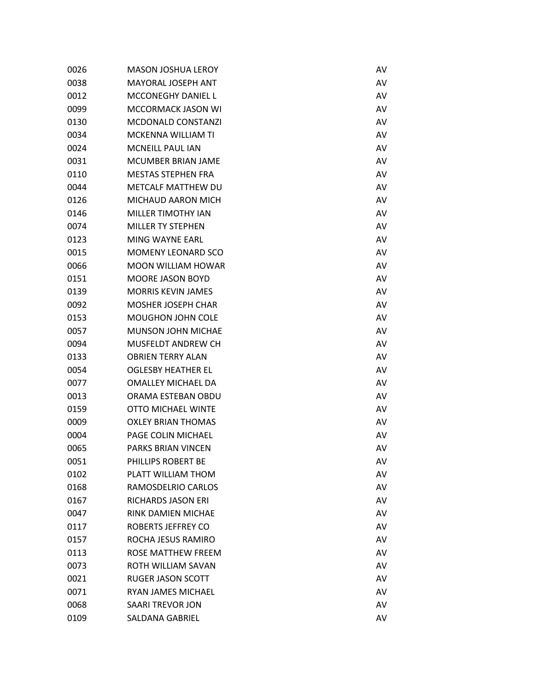| 0026 | <b>MASON JOSHUA LEROY</b> | AV |
|------|---------------------------|----|
| 0038 | MAYORAL JOSEPH ANT        | AV |
| 0012 | <b>MCCONEGHY DANIEL L</b> | AV |
| 0099 | <b>MCCORMACK JASON WI</b> | AV |
| 0130 | <b>MCDONALD CONSTANZI</b> | AV |
| 0034 | <b>MCKENNA WILLIAM TI</b> | AV |
| 0024 | <b>MCNEILL PAUL IAN</b>   | AV |
| 0031 | <b>MCUMBER BRIAN JAME</b> | AV |
| 0110 | <b>MESTAS STEPHEN FRA</b> | AV |
| 0044 | <b>METCALF MATTHEW DU</b> | AV |
| 0126 | MICHAUD AARON MICH        | AV |
| 0146 | <b>MILLER TIMOTHY IAN</b> | AV |
| 0074 | <b>MILLER TY STEPHEN</b>  | AV |
| 0123 | MING WAYNE EARL           | AV |
| 0015 | <b>MOMENY LEONARD SCO</b> | AV |
| 0066 | <b>MOON WILLIAM HOWAR</b> | AV |
| 0151 | <b>MOORE JASON BOYD</b>   | AV |
| 0139 | <b>MORRIS KEVIN JAMES</b> | AV |
| 0092 | <b>MOSHER JOSEPH CHAR</b> | AV |
| 0153 | <b>MOUGHON JOHN COLE</b>  | AV |
| 0057 | <b>MUNSON JOHN MICHAE</b> | AV |
| 0094 | MUSFELDT ANDREW CH        | AV |
| 0133 | <b>OBRIEN TERRY ALAN</b>  | AV |
| 0054 | <b>OGLESBY HEATHER EL</b> | AV |
| 0077 | <b>OMALLEY MICHAEL DA</b> | AV |
| 0013 | ORAMA ESTEBAN OBDU        | AV |
| 0159 | <b>OTTO MICHAEL WINTE</b> | AV |
| 0009 | <b>OXLEY BRIAN THOMAS</b> | AV |
| 0004 | PAGE COLIN MICHAEL        | AV |
| 0065 | <b>PARKS BRIAN VINCEN</b> | AV |
| 0051 | PHILLIPS ROBERT BE        | AV |
| 0102 | PLATT WILLIAM THOM        | AV |
| 0168 | RAMOSDELRIO CARLOS        | AV |
| 0167 | <b>RICHARDS JASON ERI</b> | AV |
| 0047 | RINK DAMIEN MICHAE        | AV |
| 0117 | ROBERTS JEFFREY CO        | AV |
| 0157 | ROCHA JESUS RAMIRO        | AV |
| 0113 | ROSE MATTHEW FREEM        | AV |
| 0073 | ROTH WILLIAM SAVAN        | AV |
| 0021 | <b>RUGER JASON SCOTT</b>  | AV |
| 0071 | RYAN JAMES MICHAEL        | AV |
| 0068 | SAARI TREVOR JON          | AV |
| 0109 | SALDANA GABRIEL           | AV |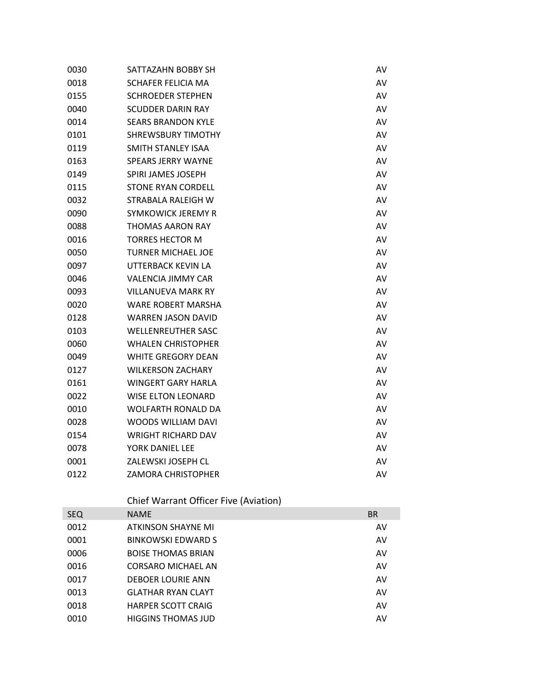| 0030 | SATTAZAHN BOBBY SH        | AV |
|------|---------------------------|----|
| 0018 | SCHAFER FELICIA MA        | AV |
| 0155 | <b>SCHROEDER STEPHEN</b>  | AV |
| 0040 | <b>SCUDDER DARIN RAY</b>  | AV |
| 0014 | <b>SEARS BRANDON KYLE</b> | AV |
| 0101 | <b>SHREWSBURY TIMOTHY</b> | AV |
| 0119 | <b>SMITH STANLEY ISAA</b> | AV |
| 0163 | <b>SPEARS JERRY WAYNE</b> | AV |
| 0149 | SPIRI JAMES JOSEPH        | AV |
| 0115 | <b>STONE RYAN CORDELL</b> | AV |
| 0032 | STRABALA RALEIGH W        | AV |
| 0090 | SYMKOWICK JEREMY R        | AV |
| 0088 | <b>THOMAS AARON RAY</b>   | AV |
| 0016 | <b>TORRES HECTOR M</b>    | AV |
| 0050 | <b>TURNER MICHAEL JOE</b> | AV |
| 0097 | UTTERBACK KEVIN LA        | AV |
| 0046 | <b>VALENCIA JIMMY CAR</b> | AV |
| 0093 | <b>VILLANUEVA MARK RY</b> | AV |
| 0020 | WARE ROBERT MARSHA        | AV |
| 0128 | WARREN JASON DAVID        | AV |
| 0103 | <b>WELLENREUTHER SASC</b> | AV |
| 0060 | <b>WHALEN CHRISTOPHER</b> | AV |
| 0049 | <b>WHITE GREGORY DEAN</b> | AV |
| 0127 | <b>WILKERSON ZACHARY</b>  | AV |
| 0161 | <b>WINGERT GARY HARLA</b> | AV |
| 0022 | <b>WISE ELTON LEONARD</b> | AV |
| 0010 | <b>WOLFARTH RONALD DA</b> | AV |
| 0028 | <b>WOODS WILLIAM DAVI</b> | AV |
| 0154 | <b>WRIGHT RICHARD DAV</b> | AV |
| 0078 | YORK DANIEL LEE           | AV |
| 0001 | ZALEWSKI JOSEPH CL        | AV |
| 0122 | ZAMORA CHRISTOPHER        | AV |
|      |                           |    |

## Chief Warrant Officer Five (Aviation)

| <b>SEQ</b> | <b>NAME</b>               | <b>BR</b> |
|------------|---------------------------|-----------|
| 0012       | ATKINSON SHAYNE MI        | AV        |
| 0001       | <b>BINKOWSKI EDWARD S</b> | AV        |
| 0006       | <b>BOISE THOMAS BRIAN</b> | AV        |
| 0016       | <b>CORSARO MICHAEL AN</b> | AV        |
| 0017       | DEBOER LOURIE ANN         | AV        |
| 0013       | <b>GLATHAR RYAN CLAYT</b> | AV        |
| 0018       | <b>HARPER SCOTT CRAIG</b> | AV        |
| 0010       | <b>HIGGINS THOMAS JUD</b> | AV        |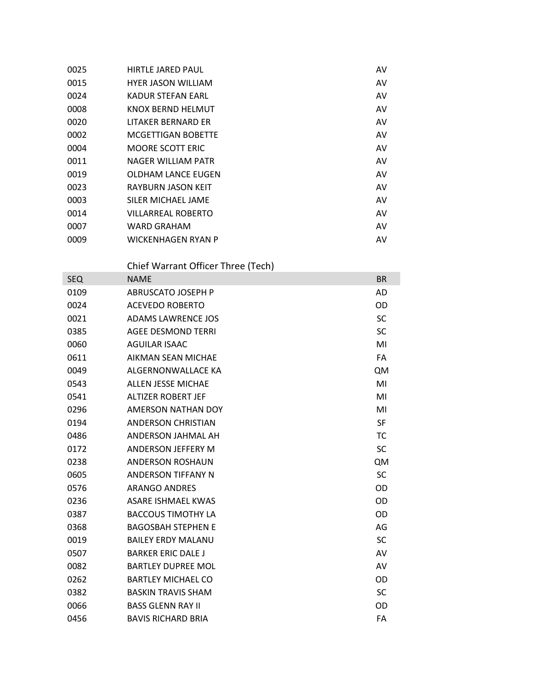| 0025 | <b>HIRTLE JARED PAUL</b>  | AV |
|------|---------------------------|----|
| 0015 | <b>HYER JASON WILLIAM</b> | AV |
| 0024 | KADUR STEFAN EARL         | AV |
| 0008 | KNOX BERND HELMUT         | AV |
| 0020 | LITAKER BERNARD ER        | AV |
| 0002 | MCGETTIGAN BOBETTE        | AV |
| 0004 | <b>MOORE SCOTT ERIC</b>   | AV |
| 0011 | NAGER WILLIAM PATR        | AV |
| 0019 | <b>OLDHAM LANCE EUGEN</b> | AV |
| 0023 | RAYBURN JASON KEIT        | AV |
| 0003 | SILER MICHAEL JAME        | AV |
| 0014 | <b>VILLARREAL ROBERTO</b> | AV |
| 0007 | <b>WARD GRAHAM</b>        | AV |
| 0009 | WICKENHAGEN RYAN P        | AV |
|      |                           |    |

Chief Warrant Officer Three (Tech)

| <b>SEQ</b> | <b>NAME</b>               | <b>BR</b> |
|------------|---------------------------|-----------|
| 0109       | <b>ABRUSCATO JOSEPH P</b> | AD        |
| 0024       | <b>ACEVEDO ROBERTO</b>    | OD        |
| 0021       | <b>ADAMS LAWRENCE JOS</b> | <b>SC</b> |
| 0385       | <b>AGEE DESMOND TERRI</b> | <b>SC</b> |
| 0060       | <b>AGUILAR ISAAC</b>      | MI        |
| 0611       | AIKMAN SEAN MICHAE        | <b>FA</b> |
| 0049       | ALGFRNONWALLACF KA        | QM        |
| 0543       | <b>ALLEN JESSE MICHAE</b> | MI        |
| 0541       | <b>ALTIZER ROBERT JEF</b> | MI        |
| 0296       | AMERSON NATHAN DOY        | MI        |
| 0194       | <b>ANDERSON CHRISTIAN</b> | <b>SF</b> |
| 0486       | ANDERSON JAHMAL AH        | TC        |
| 0172       | ANDERSON JEFFERY M        | <b>SC</b> |
| 0238       | <b>ANDERSON ROSHAUN</b>   | QM        |
| 0605       | <b>ANDERSON TIFFANY N</b> | <b>SC</b> |
| 0576       | <b>ARANGO ANDRES</b>      | OD        |
| 0236       | <b>ASARE ISHMAEL KWAS</b> | OD        |
| 0387       | <b>BACCOUS TIMOTHY LA</b> | OD        |
| 0368       | <b>BAGOSBAH STEPHEN E</b> | AG        |
| 0019       | <b>BAILEY ERDY MALANU</b> | <b>SC</b> |
| 0507       | <b>BARKER ERIC DALE J</b> | AV        |
| 0082       | <b>BARTLEY DUPREE MOL</b> | AV        |
| 0262       | <b>BARTLEY MICHAEL CO</b> | OD        |
| 0382       | <b>BASKIN TRAVIS SHAM</b> | <b>SC</b> |
| 0066       | <b>BASS GLENN RAY II</b>  | OD        |
| 0456       | <b>BAVIS RICHARD BRIA</b> | FA        |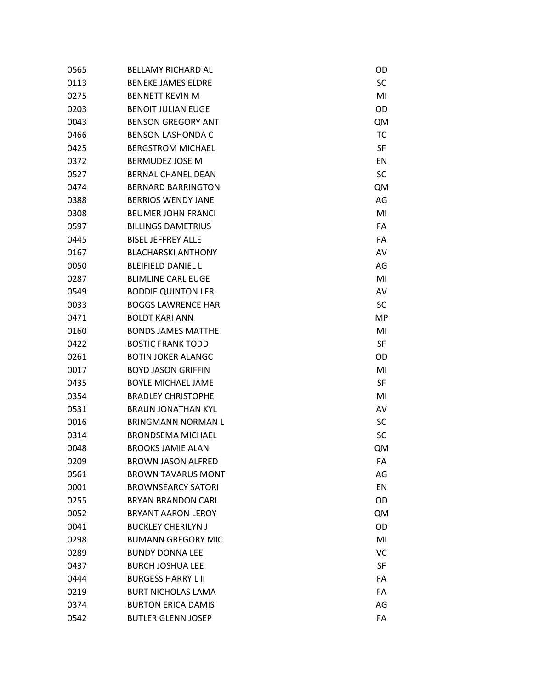| 0565 | <b>BELLAMY RICHARD AL</b> | OD        |
|------|---------------------------|-----------|
| 0113 | <b>BENEKE JAMES ELDRE</b> | SC        |
| 0275 | <b>BENNETT KEVIN M</b>    | MI        |
| 0203 | <b>BENOIT JULIAN EUGE</b> | OD        |
| 0043 | <b>BENSON GREGORY ANT</b> | <b>QM</b> |
| 0466 | <b>BENSON LASHONDA C</b>  | <b>TC</b> |
| 0425 | <b>BERGSTROM MICHAEL</b>  | SF        |
| 0372 | <b>BERMUDEZ JOSE M</b>    | EN        |
| 0527 | <b>BERNAL CHANEL DEAN</b> | SC        |
| 0474 | <b>BERNARD BARRINGTON</b> | <b>QM</b> |
| 0388 | <b>BERRIOS WENDY JANE</b> | AG        |
| 0308 | <b>BEUMER JOHN FRANCI</b> | MI        |
| 0597 | <b>BILLINGS DAMETRIUS</b> | FA        |
| 0445 | <b>BISEL JEFFREY ALLE</b> | FA        |
| 0167 | <b>BLACHARSKI ANTHONY</b> | AV        |
| 0050 | <b>BLEIFIELD DANIEL L</b> | AG        |
| 0287 | <b>BLIMLINE CARL EUGE</b> | MI        |
| 0549 | <b>BODDIE QUINTON LER</b> | AV        |
| 0033 | <b>BOGGS LAWRENCE HAR</b> | SC        |
| 0471 | <b>BOLDT KARI ANN</b>     | MP        |
| 0160 | <b>BONDS JAMES MATTHE</b> | MI        |
| 0422 | <b>BOSTIC FRANK TODD</b>  | SF        |
| 0261 | <b>BOTIN JOKER ALANGC</b> | OD        |
| 0017 | <b>BOYD JASON GRIFFIN</b> | MI        |
| 0435 | <b>BOYLE MICHAEL JAME</b> | SF        |
| 0354 | <b>BRADLEY CHRISTOPHE</b> | MI        |
| 0531 | <b>BRAUN JONATHAN KYL</b> | AV        |
| 0016 | <b>BRINGMANN NORMAN L</b> | SC        |
| 0314 | <b>BRONDSEMA MICHAEL</b>  | SC        |
| 0048 | <b>BROOKS JAMIE ALAN</b>  | <b>QM</b> |
| 0209 | <b>BROWN JASON ALFRED</b> | FA        |
| 0561 | <b>BROWN TAVARUS MONT</b> | AG        |
| 0001 | <b>BROWNSEARCY SATORI</b> | EN        |
| 0255 | <b>BRYAN BRANDON CARL</b> | OD        |
| 0052 | <b>BRYANT AARON LEROY</b> | <b>QM</b> |
| 0041 | <b>BUCKLEY CHERILYN J</b> | OD        |
| 0298 | <b>BUMANN GREGORY MIC</b> | MI        |
| 0289 | <b>BUNDY DONNA LEE</b>    | VC        |
| 0437 | <b>BURCH JOSHUA LEE</b>   | <b>SF</b> |
| 0444 | <b>BURGESS HARRY L II</b> | FA        |
| 0219 | <b>BURT NICHOLAS LAMA</b> | FA        |
| 0374 | <b>BURTON ERICA DAMIS</b> | AG        |
| 0542 | <b>BUTLER GLENN JOSEP</b> | FA        |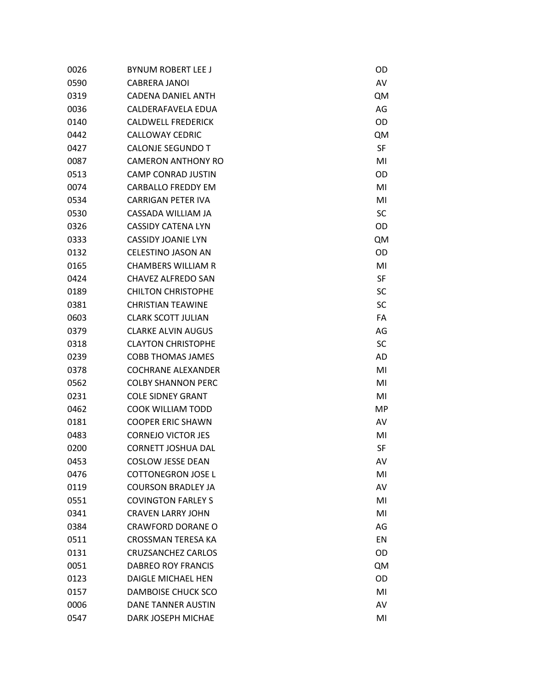| 0026 | <b>BYNUM ROBERT LEE J</b> | OD        |
|------|---------------------------|-----------|
| 0590 | <b>CABRERA JANOI</b>      | AV        |
| 0319 | CADENA DANIEL ANTH        | <b>QM</b> |
| 0036 | CALDERAFAVELA EDUA        | AG        |
| 0140 | <b>CALDWELL FREDERICK</b> | OD        |
| 0442 | <b>CALLOWAY CEDRIC</b>    | <b>QM</b> |
| 0427 | <b>CALONJE SEGUNDO T</b>  | SF        |
| 0087 | <b>CAMERON ANTHONY RO</b> | MI        |
| 0513 | <b>CAMP CONRAD JUSTIN</b> | OD        |
| 0074 | <b>CARBALLO FREDDY EM</b> | MI        |
| 0534 | <b>CARRIGAN PETER IVA</b> | MI        |
| 0530 | CASSADA WILLIAM JA        | SC        |
| 0326 | CASSIDY CATENA LYN        | OD        |
| 0333 | <b>CASSIDY JOANIE LYN</b> | <b>QM</b> |
| 0132 | <b>CELESTINO JASON AN</b> | OD        |
| 0165 | <b>CHAMBERS WILLIAM R</b> | MI        |
| 0424 | CHAVEZ ALFREDO SAN        | SF        |
| 0189 | <b>CHILTON CHRISTOPHE</b> | SC        |
| 0381 | <b>CHRISTIAN TEAWINE</b>  | SC        |
| 0603 | <b>CLARK SCOTT JULIAN</b> | FA        |
| 0379 | <b>CLARKE ALVIN AUGUS</b> | AG        |
| 0318 | <b>CLAYTON CHRISTOPHE</b> | SC        |
| 0239 | <b>COBB THOMAS JAMES</b>  | AD        |
| 0378 | <b>COCHRANE ALEXANDER</b> | MI        |
| 0562 | <b>COLBY SHANNON PERC</b> | MI        |
| 0231 | <b>COLE SIDNEY GRANT</b>  | MI        |
| 0462 | <b>COOK WILLIAM TODD</b>  | MP        |
| 0181 | <b>COOPER ERIC SHAWN</b>  | AV        |
| 0483 | <b>CORNEJO VICTOR JES</b> | MI        |
| 0200 | <b>CORNETT JOSHUA DAL</b> | SF        |
| 0453 | <b>COSLOW JESSE DEAN</b>  | AV        |
| 0476 | <b>COTTONEGRON JOSE L</b> | MI        |
| 0119 | <b>COURSON BRADLEY JA</b> | AV        |
| 0551 | <b>COVINGTON FARLEY S</b> | MI        |
| 0341 | <b>CRAVEN LARRY JOHN</b>  | MI        |
| 0384 | <b>CRAWFORD DORANE O</b>  | AG        |
| 0511 | <b>CROSSMAN TERESA KA</b> | EN        |
| 0131 | <b>CRUZSANCHEZ CARLOS</b> | OD        |
| 0051 | <b>DABREO ROY FRANCIS</b> | <b>QM</b> |
| 0123 | <b>DAIGLE MICHAEL HEN</b> | OD        |
| 0157 | DAMBOISE CHUCK SCO        | MI        |
| 0006 | DANE TANNER AUSTIN        | AV        |
| 0547 | DARK JOSEPH MICHAE        | MI        |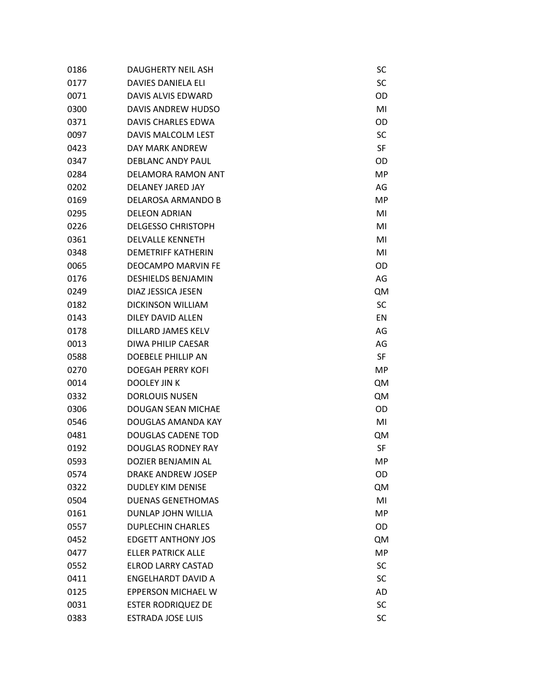| 0186 | DAUGHERTY NEIL ASH        | SC        |
|------|---------------------------|-----------|
| 0177 | <b>DAVIES DANIELA ELI</b> | SC        |
| 0071 | <b>DAVIS ALVIS EDWARD</b> | OD        |
| 0300 | DAVIS ANDREW HUDSO        | MI        |
| 0371 | DAVIS CHARLES EDWA        | OD        |
| 0097 | DAVIS MALCOLM LEST        | SC        |
| 0423 | DAY MARK ANDREW           | <b>SF</b> |
| 0347 | <b>DEBLANC ANDY PAUL</b>  | OD        |
| 0284 | DELAMORA RAMON ANT        | MP        |
| 0202 | <b>DELANEY JARED JAY</b>  | AG        |
| 0169 | DELAROSA ARMANDO B        | MP        |
| 0295 | <b>DELEON ADRIAN</b>      | MI        |
| 0226 | <b>DELGESSO CHRISTOPH</b> | MI        |
| 0361 | <b>DELVALLE KENNETH</b>   | MI        |
| 0348 | <b>DEMETRIFF KATHERIN</b> | MI        |
| 0065 | <b>DEOCAMPO MARVIN FE</b> | OD        |
| 0176 | <b>DESHIELDS BENJAMIN</b> | AG        |
| 0249 | DIAZ JESSICA JESEN        | QM        |
| 0182 | <b>DICKINSON WILLIAM</b>  | SC        |
| 0143 | <b>DILEY DAVID ALLEN</b>  | EN        |
| 0178 | DILLARD JAMES KELV        | AG        |
| 0013 | DIWA PHILIP CAESAR        | AG        |
| 0588 | <b>DOEBELE PHILLIP AN</b> | <b>SF</b> |
| 0270 | <b>DOEGAH PERRY KOFI</b>  | MP        |
| 0014 | DOOLEY JIN K              | QM        |
| 0332 | <b>DORLOUIS NUSEN</b>     | QM        |
| 0306 | <b>DOUGAN SEAN MICHAE</b> | OD        |
| 0546 | DOUGLAS AMANDA KAY        | MI        |
| 0481 | <b>DOUGLAS CADENE TOD</b> | QM        |
| 0192 | <b>DOUGLAS RODNEY RAY</b> | <b>SF</b> |
| 0593 | DOZIER BENJAMIN AL        | MP        |
| 0574 | <b>DRAKE ANDREW JOSEP</b> | OD        |
| 0322 | <b>DUDLEY KIM DENISE</b>  | <b>QM</b> |
| 0504 | <b>DUENAS GENETHOMAS</b>  | MI        |
| 0161 | DUNLAP JOHN WILLIA        | MP        |
| 0557 | <b>DUPLECHIN CHARLES</b>  | OD        |
| 0452 | <b>EDGETT ANTHONY JOS</b> | <b>QM</b> |
| 0477 | <b>ELLER PATRICK ALLE</b> | <b>MP</b> |
| 0552 | <b>ELROD LARRY CASTAD</b> | SC        |
| 0411 | ENGELHARDT DAVID A        | SC        |
| 0125 | <b>EPPERSON MICHAEL W</b> | AD        |
| 0031 | <b>ESTER RODRIQUEZ DE</b> | SC        |
| 0383 | <b>ESTRADA JOSE LUIS</b>  | SC        |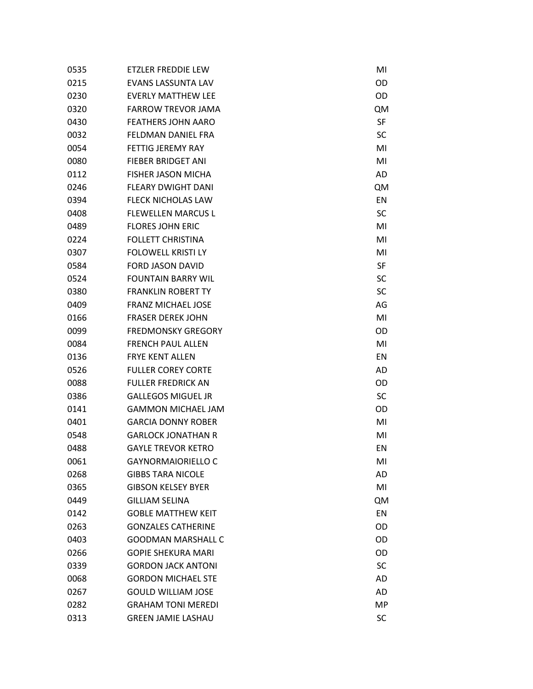| 0535 | ETZLER FREDDIE LEW        | MI        |
|------|---------------------------|-----------|
| 0215 | <b>EVANS LASSUNTA LAV</b> | OD        |
| 0230 | <b>EVERLY MATTHEW LEE</b> | OD        |
| 0320 | <b>FARROW TREVOR JAMA</b> | <b>QM</b> |
| 0430 | <b>FEATHERS JOHN AARO</b> | SF        |
| 0032 | FELDMAN DANIEL FRA        | SC        |
| 0054 | <b>FETTIG JEREMY RAY</b>  | MI        |
| 0080 | <b>FIEBER BRIDGET ANI</b> | MI        |
| 0112 | <b>FISHER JASON MICHA</b> | AD        |
| 0246 | <b>FLEARY DWIGHT DANI</b> | <b>QM</b> |
| 0394 | <b>FLECK NICHOLAS LAW</b> | EN        |
| 0408 | <b>FLEWELLEN MARCUS L</b> | SC        |
| 0489 | <b>FLORES JOHN ERIC</b>   | MI        |
| 0224 | <b>FOLLETT CHRISTINA</b>  | MI        |
| 0307 | <b>FOLOWELL KRISTI LY</b> | MI        |
| 0584 | <b>FORD JASON DAVID</b>   | SF        |
| 0524 | <b>FOUNTAIN BARRY WIL</b> | SC        |
| 0380 | <b>FRANKLIN ROBERT TY</b> | SC        |
| 0409 | <b>FRANZ MICHAEL JOSE</b> | AG        |
| 0166 | <b>FRASER DEREK JOHN</b>  | MI        |
| 0099 | <b>FREDMONSKY GREGORY</b> | OD        |
| 0084 | <b>FRENCH PAUL ALLEN</b>  | MI        |
| 0136 | <b>FRYE KENT ALLEN</b>    | EN        |
| 0526 | <b>FULLER COREY CORTE</b> | AD        |
| 0088 | <b>FULLER FREDRICK AN</b> | OD        |
| 0386 | <b>GALLEGOS MIGUEL JR</b> | SC        |
| 0141 | <b>GAMMON MICHAEL JAM</b> | OD        |
| 0401 | <b>GARCIA DONNY ROBER</b> | MI        |
| 0548 | <b>GARLOCK JONATHAN R</b> | MI        |
| 0488 | <b>GAYLE TREVOR KETRO</b> | EN        |
| 0061 | <b>GAYNORMAIORIELLO C</b> | MI        |
| 0268 | <b>GIBBS TARA NICOLE</b>  | AD        |
| 0365 | <b>GIBSON KELSEY BYER</b> | MI        |
| 0449 | <b>GILLIAM SELINA</b>     | <b>QM</b> |
| 0142 | <b>GOBLE MATTHEW KEIT</b> | EN        |
| 0263 | <b>GONZALES CATHERINE</b> | <b>OD</b> |
| 0403 | <b>GOODMAN MARSHALL C</b> | <b>OD</b> |
| 0266 | <b>GOPIE SHEKURA MARI</b> | <b>OD</b> |
| 0339 | <b>GORDON JACK ANTONI</b> | SC        |
| 0068 | <b>GORDON MICHAEL STE</b> | AD        |
| 0267 | <b>GOULD WILLIAM JOSE</b> | AD        |
| 0282 | <b>GRAHAM TONI MEREDI</b> | MP        |
| 0313 | <b>GREEN JAMIE LASHAU</b> | SC        |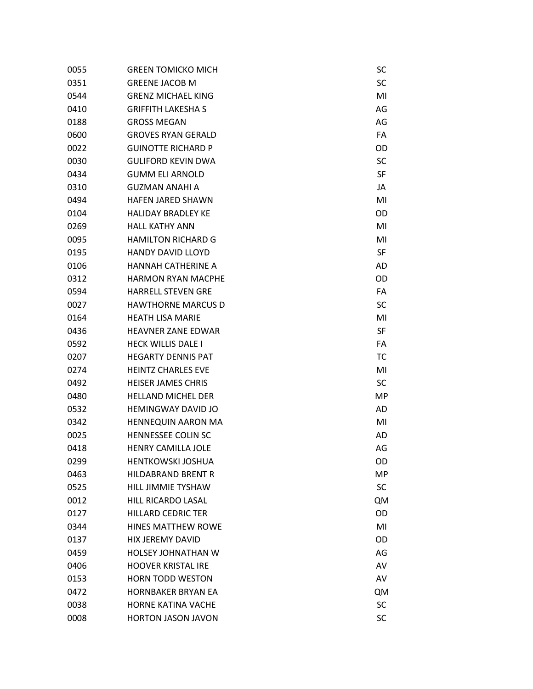| 0055 | <b>GREEN TOMICKO MICH</b> | SC        |
|------|---------------------------|-----------|
| 0351 | <b>GREENE JACOB M</b>     | SC        |
| 0544 | <b>GRENZ MICHAEL KING</b> | MI        |
| 0410 | <b>GRIFFITH LAKESHA S</b> | AG        |
| 0188 | <b>GROSS MEGAN</b>        | AG        |
| 0600 | <b>GROVES RYAN GERALD</b> | FA        |
| 0022 | <b>GUINOTTE RICHARD P</b> | OD        |
| 0030 | <b>GULIFORD KEVIN DWA</b> | SC        |
| 0434 | <b>GUMM ELI ARNOLD</b>    | SF        |
| 0310 | <b>GUZMAN ANAHI A</b>     | JA        |
| 0494 | <b>HAFEN JARED SHAWN</b>  | MI        |
| 0104 | <b>HALIDAY BRADLEY KE</b> | OD        |
| 0269 | <b>HALL KATHY ANN</b>     | MI        |
| 0095 | <b>HAMILTON RICHARD G</b> | MI        |
| 0195 | <b>HANDY DAVID LLOYD</b>  | SF        |
| 0106 | HANNAH CATHERINE A        | AD        |
| 0312 | <b>HARMON RYAN MACPHE</b> | OD        |
| 0594 | <b>HARRELL STEVEN GRE</b> | FA        |
| 0027 | <b>HAWTHORNE MARCUS D</b> | SC        |
| 0164 | <b>HEATH LISA MARIE</b>   | MI        |
| 0436 | <b>HEAVNER ZANE EDWAR</b> | SF        |
| 0592 | <b>HECK WILLIS DALE I</b> | FA        |
| 0207 | <b>HEGARTY DENNIS PAT</b> | <b>TC</b> |
| 0274 | <b>HEINTZ CHARLES EVE</b> | MI        |
| 0492 | <b>HEISER JAMES CHRIS</b> | SC        |
| 0480 | <b>HELLAND MICHEL DER</b> | MP        |
| 0532 | <b>HEMINGWAY DAVID JO</b> | AD        |
| 0342 | <b>HENNEQUIN AARON MA</b> | MI        |
| 0025 | <b>HENNESSEE COLIN SC</b> | AD        |
| 0418 | <b>HENRY CAMILLA JOLE</b> | AG        |
| 0299 | <b>HENTKOWSKI JOSHUA</b>  | OD        |
| 0463 | <b>HILDABRAND BRENT R</b> | MP        |
| 0525 | <b>HILL JIMMIE TYSHAW</b> | SC        |
| 0012 | <b>HILL RICARDO LASAL</b> | <b>QM</b> |
| 0127 | <b>HILLARD CEDRIC TER</b> | OD        |
| 0344 | <b>HINES MATTHEW ROWE</b> | MI        |
| 0137 | <b>HIX JEREMY DAVID</b>   | OD        |
| 0459 | <b>HOLSEY JOHNATHAN W</b> | AG        |
| 0406 | <b>HOOVER KRISTAL IRE</b> | AV        |
| 0153 | <b>HORN TODD WESTON</b>   | AV        |
| 0472 | <b>HORNBAKER BRYAN EA</b> | <b>QM</b> |
| 0038 | <b>HORNE KATINA VACHE</b> | SC        |
| 0008 | HORTON JASON JAVON        | SC        |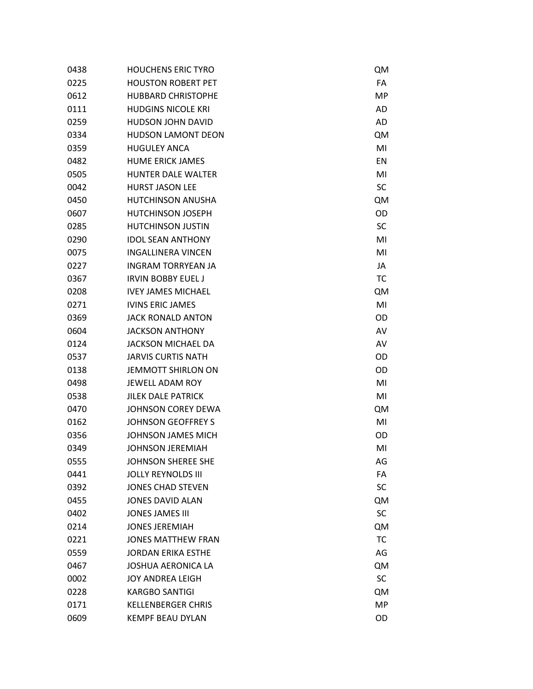| 0438 | <b>HOUCHENS ERIC TYRO</b> | <b>QM</b> |
|------|---------------------------|-----------|
| 0225 | <b>HOUSTON ROBERT PET</b> | FA        |
| 0612 | <b>HUBBARD CHRISTOPHE</b> | MP        |
| 0111 | <b>HUDGINS NICOLE KRI</b> | AD        |
| 0259 | HUDSON JOHN DAVID         | <b>AD</b> |
| 0334 | <b>HUDSON LAMONT DEON</b> | QM        |
| 0359 | <b>HUGULEY ANCA</b>       | MI        |
| 0482 | <b>HUME ERICK JAMES</b>   | EN        |
| 0505 | <b>HUNTER DALE WALTER</b> | MI        |
| 0042 | <b>HURST JASON LEE</b>    | SC        |
| 0450 | <b>HUTCHINSON ANUSHA</b>  | <b>QM</b> |
| 0607 | <b>HUTCHINSON JOSEPH</b>  | OD        |
| 0285 | <b>HUTCHINSON JUSTIN</b>  | SC        |
| 0290 | <b>IDOL SEAN ANTHONY</b>  | MI        |
| 0075 | <b>INGALLINERA VINCEN</b> | MI        |
| 0227 | <b>INGRAM TORRYEAN JA</b> | JA        |
| 0367 | <b>IRVIN BOBBY EUEL J</b> | <b>TC</b> |
| 0208 | <b>IVEY JAMES MICHAEL</b> | <b>QM</b> |
| 0271 | <b>IVINS ERIC JAMES</b>   | MI        |
| 0369 | <b>JACK RONALD ANTON</b>  | OD        |
| 0604 | <b>JACKSON ANTHONY</b>    | AV        |
| 0124 | <b>JACKSON MICHAEL DA</b> | AV        |
| 0537 | <b>JARVIS CURTIS NATH</b> | OD        |
| 0138 | <b>JEMMOTT SHIRLON ON</b> | OD        |
| 0498 | <b>JEWELL ADAM ROY</b>    | MI        |
| 0538 | <b>JILEK DALE PATRICK</b> | MI        |
| 0470 | <b>JOHNSON COREY DEWA</b> | <b>QM</b> |
| 0162 | <b>JOHNSON GEOFFREY S</b> | MI        |
| 0356 | <b>JOHNSON JAMES MICH</b> | OD        |
| 0349 | <b>JOHNSON JEREMIAH</b>   | MI        |
| 0555 | JOHNSON SHEREE SHE        | AG        |
| 0441 | <b>JOLLY REYNOLDS III</b> | FA        |
| 0392 | <b>JONES CHAD STEVEN</b>  | SC        |
| 0455 | <b>JONES DAVID ALAN</b>   | <b>QM</b> |
| 0402 | <b>JONES JAMES III</b>    | SC        |
| 0214 | <b>JONES JEREMIAH</b>     | <b>QM</b> |
| 0221 | <b>JONES MATTHEW FRAN</b> | <b>TC</b> |
| 0559 | <b>JORDAN ERIKA ESTHE</b> | AG        |
| 0467 | <b>JOSHUA AERONICA LA</b> | <b>QM</b> |
| 0002 | <b>JOY ANDREA LEIGH</b>   | SC        |
| 0228 | <b>KARGBO SANTIGI</b>     | <b>QM</b> |
| 0171 | <b>KELLENBERGER CHRIS</b> | MP        |
| 0609 | <b>KEMPF BEAU DYLAN</b>   | OD        |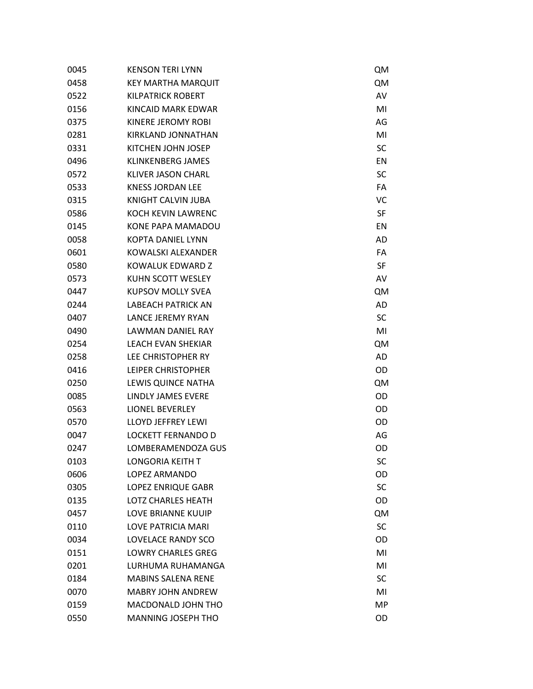| 0045 | <b>KENSON TERI LYNN</b>   | <b>QM</b> |
|------|---------------------------|-----------|
| 0458 | KEY MARTHA MARQUIT        | <b>QM</b> |
| 0522 | <b>KILPATRICK ROBERT</b>  | AV        |
| 0156 | KINCAID MARK EDWAR        | MI        |
| 0375 | KINERE JEROMY ROBI        | AG        |
| 0281 | KIRKLAND JONNATHAN        | MI        |
| 0331 | KITCHEN JOHN JOSEP        | SC        |
| 0496 | <b>KLINKENBERG JAMES</b>  | EN        |
| 0572 | <b>KLIVER JASON CHARL</b> | SC        |
| 0533 | <b>KNESS JORDAN LEE</b>   | FA        |
| 0315 | KNIGHT CALVIN JUBA        | VC        |
| 0586 | <b>KOCH KEVIN LAWRENC</b> | SF        |
| 0145 | KONE PAPA MAMADOU         | EN        |
| 0058 | <b>KOPTA DANIEL LYNN</b>  | <b>AD</b> |
| 0601 | KOWALSKI ALEXANDER        | FA        |
| 0580 | KOWALUK EDWARD Z          | SF        |
| 0573 | KUHN SCOTT WESLEY         | AV        |
| 0447 | <b>KUPSOV MOLLY SVEA</b>  | <b>QM</b> |
| 0244 | <b>LABEACH PATRICK AN</b> | AD        |
| 0407 | LANCE JEREMY RYAN         | SC        |
| 0490 | LAWMAN DANIEL RAY         | MI        |
| 0254 | LEACH EVAN SHEKIAR        | <b>QM</b> |
| 0258 | LEE CHRISTOPHER RY        | AD        |
| 0416 | LEIPER CHRISTOPHER        | OD        |
| 0250 | LEWIS QUINCE NATHA        | <b>QM</b> |
| 0085 | LINDLY JAMES EVERE        | OD        |
| 0563 | <b>LIONEL BEVERLEY</b>    | OD        |
| 0570 | <b>LLOYD JEFFREY LEWI</b> | OD        |
| 0047 | <b>LOCKETT FERNANDO D</b> | AG        |
| 0247 | LOMBERAMENDOZA GUS        | OD        |
| 0103 | <b>LONGORIA KEITH T</b>   | SC        |
| 0606 | LOPEZ ARMANDO             | OD        |
| 0305 | <b>LOPEZ ENRIQUE GABR</b> | SC        |
| 0135 | <b>LOTZ CHARLES HEATH</b> | OD        |
| 0457 | <b>LOVE BRIANNE KUUIP</b> | <b>QM</b> |
| 0110 | <b>LOVE PATRICIA MARI</b> | SC        |
| 0034 | LOVELACE RANDY SCO        | OD        |
| 0151 | <b>LOWRY CHARLES GREG</b> | MI        |
| 0201 | LURHUMA RUHAMANGA         | MI        |
| 0184 | <b>MABINS SALENA RENE</b> | <b>SC</b> |
| 0070 | <b>MABRY JOHN ANDREW</b>  | MI        |
| 0159 | MACDONALD JOHN THO        | <b>MP</b> |
| 0550 | MANNING JOSEPH THO        | OD        |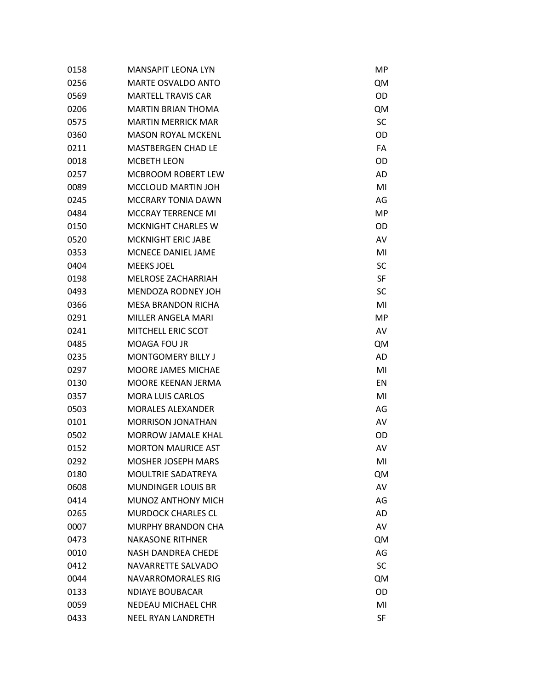| 0158 | <b>MANSAPIT LEONA LYN</b> | МP        |
|------|---------------------------|-----------|
| 0256 | <b>MARTE OSVALDO ANTO</b> | <b>QM</b> |
| 0569 | <b>MARTELL TRAVIS CAR</b> | OD        |
| 0206 | <b>MARTIN BRIAN THOMA</b> | <b>QM</b> |
| 0575 | <b>MARTIN MERRICK MAR</b> | SC        |
| 0360 | <b>MASON ROYAL MCKENL</b> | OD        |
| 0211 | <b>MASTBERGEN CHAD LE</b> | FA        |
| 0018 | <b>MCBETH LEON</b>        | OD        |
| 0257 | <b>MCBROOM ROBERT LEW</b> | AD        |
| 0089 | <b>MCCLOUD MARTIN JOH</b> | MI        |
| 0245 | <b>MCCRARY TONIA DAWN</b> | AG        |
| 0484 | <b>MCCRAY TERRENCE MI</b> | MP        |
| 0150 | <b>MCKNIGHT CHARLES W</b> | OD        |
| 0520 | <b>MCKNIGHT ERIC JABE</b> | AV        |
| 0353 | <b>MCNECE DANIEL JAME</b> | MI        |
| 0404 | <b>MEEKS JOEL</b>         | SC        |
| 0198 | <b>MELROSE ZACHARRIAH</b> | <b>SF</b> |
| 0493 | <b>MENDOZA RODNEY JOH</b> | SC        |
| 0366 | <b>MESA BRANDON RICHA</b> | MI        |
| 0291 | MILLER ANGELA MARI        | MP        |
| 0241 | <b>MITCHELL ERIC SCOT</b> | AV        |
| 0485 | MOAGA FOU JR              | <b>QM</b> |
| 0235 | <b>MONTGOMERY BILLY J</b> | AD        |
| 0297 | <b>MOORE JAMES MICHAE</b> | MI        |
| 0130 | MOORE KEENAN JERMA        | EN        |
| 0357 | <b>MORA LUIS CARLOS</b>   | MI        |
| 0503 | <b>MORALES ALEXANDER</b>  | AG        |
| 0101 | <b>MORRISON JONATHAN</b>  | AV        |
| 0502 | <b>MORROW JAMALE KHAL</b> | OD        |
| 0152 | <b>MORTON MAURICE AST</b> | AV        |
| 0292 | <b>MOSHER JOSEPH MARS</b> | MI        |
| 0180 | <b>MOULTRIE SADATREYA</b> | QM        |
| 0608 | <b>MUNDINGER LOUIS BR</b> | AV        |
| 0414 | <b>MUNOZ ANTHONY MICH</b> | AG        |
| 0265 | <b>MURDOCK CHARLES CL</b> | AD        |
| 0007 | <b>MURPHY BRANDON CHA</b> | AV        |
| 0473 | <b>NAKASONE RITHNER</b>   | <b>QM</b> |
| 0010 | <b>NASH DANDREA CHEDE</b> | AG        |
| 0412 | NAVARRETTE SALVADO        | SC        |
| 0044 | <b>NAVARROMORALES RIG</b> | <b>QM</b> |
| 0133 | <b>NDIAYE BOUBACAR</b>    | OD        |
| 0059 | <b>NEDEAU MICHAEL CHR</b> | MI        |
| 0433 | <b>NEEL RYAN LANDRETH</b> | SF        |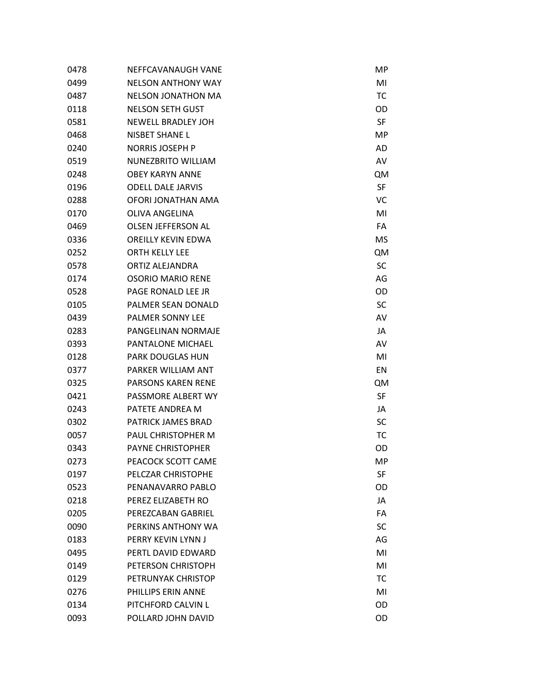| 0478 | NEFFCAVANAUGH VANE        | MP        |
|------|---------------------------|-----------|
| 0499 | <b>NELSON ANTHONY WAY</b> | MI        |
| 0487 | <b>NELSON JONATHON MA</b> | <b>TC</b> |
| 0118 | <b>NELSON SETH GUST</b>   | OD        |
| 0581 | <b>NEWELL BRADLEY JOH</b> | SF        |
| 0468 | <b>NISBET SHANE L</b>     | MP        |
| 0240 | <b>NORRIS JOSEPH P</b>    | AD        |
| 0519 | <b>NUNEZBRITO WILLIAM</b> | AV        |
| 0248 | <b>OBFY KARYN ANNF</b>    | <b>QM</b> |
| 0196 | <b>ODELL DALE JARVIS</b>  | SF        |
| 0288 | OFORI JONATHAN AMA        | VC        |
| 0170 | <b>OLIVA ANGELINA</b>     | MI        |
| 0469 | <b>OLSEN JEFFERSON AL</b> | FA        |
| 0336 | <b>OREILLY KEVIN EDWA</b> | MS        |
| 0252 | <b>ORTH KELLY LEE</b>     | <b>QM</b> |
| 0578 | ORTIZ ALEJANDRA           | SC        |
| 0174 | <b>OSORIO MARIO RENE</b>  | AG        |
| 0528 | PAGE RONALD LEE JR        | OD        |
| 0105 | PALMER SEAN DONALD        | SC        |
| 0439 | PALMER SONNY LEE          | AV        |
| 0283 | PANGELINAN NORMAJE        | JA        |
| 0393 | PANTALONE MICHAEL         | AV        |
| 0128 | <b>PARK DOUGLAS HUN</b>   | MI        |
| 0377 | PARKER WILLIAM ANT        | EN        |
| 0325 | <b>PARSONS KAREN RENE</b> | QM        |
| 0421 | PASSMORE ALBERT WY        | SF        |
| 0243 | PATETE ANDREA M           | JA        |
| 0302 | PATRICK JAMES BRAD        | SC        |
| 0057 | PAUL CHRISTOPHER M        | <b>TC</b> |
| 0343 | <b>PAYNE CHRISTOPHER</b>  | OD        |
| 0273 | PEACOCK SCOTT CAME        | MP        |
| 0197 | PELCZAR CHRISTOPHE        | <b>SF</b> |
| 0523 | PENANAVARRO PABLO         | OD        |
| 0218 | PEREZ ELIZABETH RO        | JA        |
| 0205 | PFRFZCABAN GABRIFL        | FA        |
| 0090 | PERKINS ANTHONY WA        | SC        |
| 0183 | PFRRY KFVIN LYNN J        | AG        |
| 0495 | PFRTL DAVID FDWARD        | MI        |
| 0149 | PETERSON CHRISTOPH        | MI        |
| 0129 | PETRUNYAK CHRISTOP        | <b>TC</b> |
| 0276 | PHILLIPS ERIN ANNE        | MI        |
| 0134 | PITCHFORD CALVIN L        | OD        |
| 0093 | POLLARD JOHN DAVID        | OD        |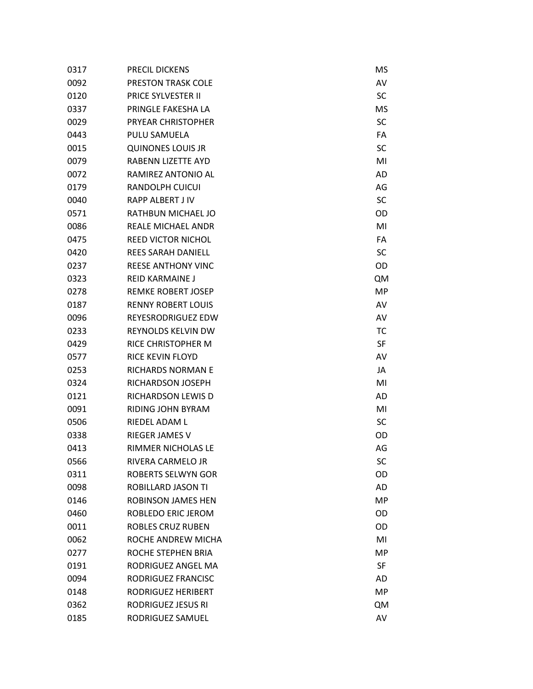| 0317 | PRECIL DICKENS            | ΜS        |
|------|---------------------------|-----------|
| 0092 | <b>PRESTON TRASK COLE</b> | AV        |
| 0120 | <b>PRICE SYLVESTER II</b> | SC        |
| 0337 | PRINGLE FAKESHA LA        | MS        |
| 0029 | PRYEAR CHRISTOPHER        | SC        |
| 0443 | PULU SAMUELA              | FA        |
| 0015 | <b>QUINONES LOUIS JR</b>  | SC        |
| 0079 | RABENN LIZETTE AYD        | MI        |
| 0072 | RAMIREZ ANTONIO AL        | AD        |
| 0179 | <b>RANDOLPH CUICUI</b>    | AG        |
| 0040 | <b>RAPP ALBERT J IV</b>   | SC        |
| 0571 | RATHBUN MICHAEL JO        | OD        |
| 0086 | REALE MICHAEL ANDR        | MI        |
| 0475 | <b>REED VICTOR NICHOL</b> | FA        |
| 0420 | <b>REES SARAH DANIELL</b> | SC        |
| 0237 | <b>REESE ANTHONY VINC</b> | OD        |
| 0323 | <b>RFID KARMAINE J</b>    | <b>QM</b> |
| 0278 | <b>REMKE ROBERT JOSEP</b> | <b>MP</b> |
| 0187 | <b>RENNY ROBERT LOUIS</b> | AV        |
| 0096 | <b>REYESRODRIGUEZ EDW</b> | AV        |
| 0233 | REYNOLDS KELVIN DW        | <b>TC</b> |
| 0429 | RICE CHRISTOPHER M        | SF        |
| 0577 | RICE KEVIN FLOYD          | AV        |
| 0253 | RICHARDS NORMAN E         | JA        |
| 0324 | RICHARDSON JOSEPH         | MI        |
| 0121 | RICHARDSON LEWIS D        | AD        |
| 0091 | RIDING JOHN BYRAM         | MI        |
| 0506 | RIEDEL ADAM L             | SC        |
| 0338 | RIEGER JAMES V            | OD        |
| 0413 | RIMMER NICHOLAS LE        | AG        |
| 0566 | RIVERA CARMELO JR         | SC        |
| 0311 | <b>ROBERTS SELWYN GOR</b> | OD        |
| 0098 | ROBILLARD JASON TI        | AD        |
| 0146 | <b>ROBINSON JAMES HEN</b> | MP        |
| 0460 | ROBLEDO ERIC JEROM        | OD        |
| 0011 | <b>ROBLES CRUZ RUBEN</b>  | OD        |
| 0062 | ROCHE ANDREW MICHA        | MI        |
| 0277 | ROCHE STEPHEN BRIA        | MP        |
| 0191 | RODRIGUEZ ANGEL MA        | <b>SF</b> |
| 0094 | RODRIGUEZ FRANCISC        | AD        |
| 0148 | RODRIGUEZ HERIBERT        | MP        |
| 0362 | RODRIGUEZ JESUS RI        | <b>QM</b> |
| 0185 | RODRIGUEZ SAMUEL          | AV        |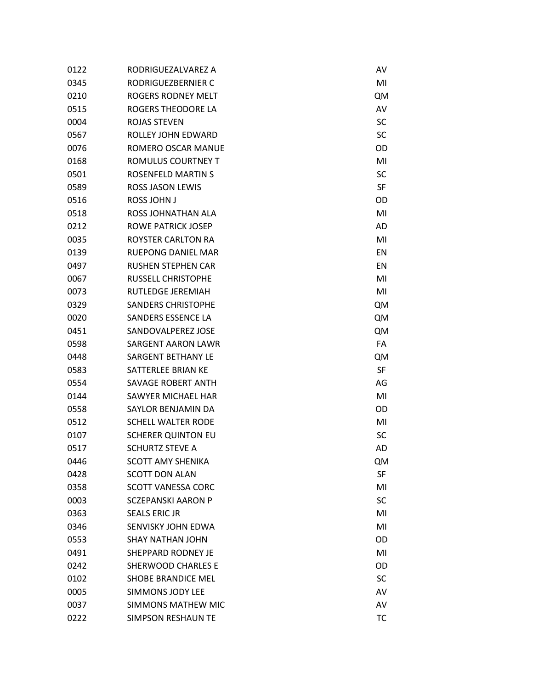| 0122 | RODRIGUEZALVAREZ A        | AV        |
|------|---------------------------|-----------|
| 0345 | RODRIGUEZBERNIER C        | MI        |
| 0210 | ROGERS RODNEY MELT        | <b>QM</b> |
| 0515 | ROGERS THEODORE LA        | AV        |
| 0004 | <b>ROJAS STEVEN</b>       | SC        |
| 0567 | ROLLEY JOHN EDWARD        | SC        |
| 0076 | ROMERO OSCAR MANUE        | OD        |
| 0168 | ROMULUS COURTNEY T        | MI        |
| 0501 | <b>ROSENFELD MARTIN S</b> | SC        |
| 0589 | <b>ROSS JASON LEWIS</b>   | SF        |
| 0516 | <b>ROSS JOHN J</b>        | OD        |
| 0518 | ROSS JOHNATHAN ALA        | MI        |
| 0212 | ROWE PATRICK JOSEP        | AD        |
| 0035 | ROYSTER CARLTON RA        | MI        |
| 0139 | <b>RUEPONG DANIEL MAR</b> | EN        |
| 0497 | <b>RUSHEN STEPHEN CAR</b> | EN        |
| 0067 | <b>RUSSELL CHRISTOPHE</b> | MI        |
| 0073 | <b>RUTLEDGE JEREMIAH</b>  | MI        |
| 0329 | <b>SANDERS CHRISTOPHE</b> | <b>QM</b> |
| 0020 | SANDERS ESSENCE LA        | <b>QM</b> |
| 0451 | SANDOVALPEREZ JOSE        | <b>QM</b> |
| 0598 | <b>SARGENT AARON LAWR</b> | FA        |
| 0448 | <b>SARGENT BETHANY LE</b> | <b>QM</b> |
| 0583 | SATTERLEE BRIAN KE        | SF        |
| 0554 | SAVAGE ROBERT ANTH        | AG        |
| 0144 | SAWYER MICHAEL HAR        | MI        |
| 0558 | SAYLOR BENJAMIN DA        | OD        |
| 0512 | <b>SCHELL WALTER RODE</b> | MI        |
| 0107 | <b>SCHERER QUINTON EU</b> | SC        |
| 0517 | <b>SCHURTZ STEVE A</b>    | AD        |
| 0446 | <b>SCOTT AMY SHENIKA</b>  | <b>QM</b> |
| 0428 | <b>SCOTT DON ALAN</b>     | SF        |
| 0358 | <b>SCOTT VANESSA CORC</b> | MI        |
| 0003 | <b>SCZEPANSKI AARON P</b> | SC        |
| 0363 | <b>SEALS ERIC JR</b>      | MI        |
| 0346 | SENVISKY JOHN EDWA        | MI        |
| 0553 | <b>SHAY NATHAN JOHN</b>   | OD        |
| 0491 | SHEPPARD RODNEY JE        | MI        |
| 0242 | <b>SHERWOOD CHARLES E</b> | OD        |
| 0102 | <b>SHOBE BRANDICE MEL</b> | SC        |
| 0005 | <b>SIMMONS JODY LEE</b>   | AV        |
| 0037 | <b>SIMMONS MATHEW MIC</b> | AV        |
| 0222 | <b>SIMPSON RESHAUN TE</b> | <b>TC</b> |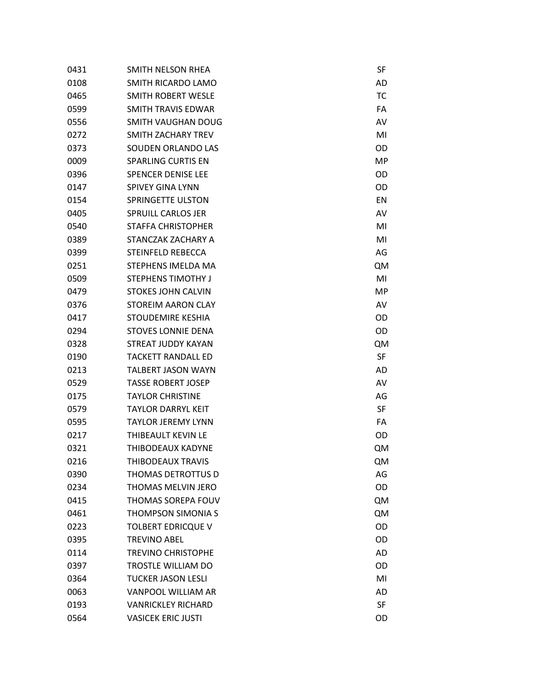| 0431 | SMITH NELSON RHEA         | SF        |
|------|---------------------------|-----------|
| 0108 | SMITH RICARDO LAMO        | AD        |
| 0465 | SMITH ROBERT WESLE        | <b>TC</b> |
| 0599 | SMITH TRAVIS EDWAR        | FA        |
| 0556 | <b>SMITH VAUGHAN DOUG</b> | AV        |
| 0272 | SMITH ZACHARY TREV        | MI        |
| 0373 | SOUDEN ORLANDO LAS        | OD        |
| 0009 | <b>SPARLING CURTIS EN</b> | <b>MP</b> |
| 0396 | <b>SPENCER DENISE LEE</b> | OD        |
| 0147 | <b>SPIVEY GINA LYNN</b>   | OD        |
| 0154 | <b>SPRINGETTE ULSTON</b>  | EN        |
| 0405 | <b>SPRUILL CARLOS JER</b> | AV        |
| 0540 | <b>STAFFA CHRISTOPHER</b> | MI        |
| 0389 | STANCZAK ZACHARY A        | MI        |
| 0399 | <b>STEINFELD REBECCA</b>  | AG        |
| 0251 | STEPHENS IMELDA MA        | <b>QM</b> |
| 0509 | <b>STEPHENS TIMOTHY J</b> | MI        |
| 0479 | <b>STOKES JOHN CALVIN</b> | <b>MP</b> |
| 0376 | <b>STOREIM AARON CLAY</b> | AV        |
| 0417 | STOUDEMIRE KESHIA         | OD        |
| 0294 | <b>STOVES LONNIE DENA</b> | OD        |
| 0328 | <b>STREAT JUDDY KAYAN</b> | <b>QM</b> |
| 0190 | <b>TACKETT RANDALL ED</b> | <b>SF</b> |
| 0213 | <b>TALBERT JASON WAYN</b> | AD        |
| 0529 | <b>TASSE ROBERT JOSEP</b> | AV        |
| 0175 | <b>TAYLOR CHRISTINE</b>   | AG        |
| 0579 | <b>TAYLOR DARRYL KEIT</b> | <b>SF</b> |
| 0595 | <b>TAYLOR JEREMY LYNN</b> | FA        |
| 0217 | <b>THIBEAULT KEVIN LE</b> | OD        |
| 0321 | <b>THIBODEAUX KADYNE</b>  | QM        |
| 0216 | <b>THIBODEAUX TRAVIS</b>  | QM        |
| 0390 | THOMAS DETROTTUS D        | AG        |
| 0234 | THOMAS MELVIN JERO        | OD        |
| 0415 | THOMAS SOREPA FOUV        | <b>QM</b> |
| 0461 | <b>THOMPSON SIMONIA S</b> | <b>QM</b> |
| 0223 | <b>TOLBERT EDRICQUE V</b> | OD        |
| 0395 | <b>TREVINO ABEL</b>       | OD        |
| 0114 | <b>TREVINO CHRISTOPHE</b> | AD        |
| 0397 | TROSTLE WILLIAM DO        | OD        |
| 0364 | <b>TUCKER JASON LESLI</b> | MI        |
| 0063 | VANPOOL WILLIAM AR        | AD        |
| 0193 | <b>VANRICKLEY RICHARD</b> | SF        |
| 0564 | <b>VASICEK ERIC JUSTI</b> | OD        |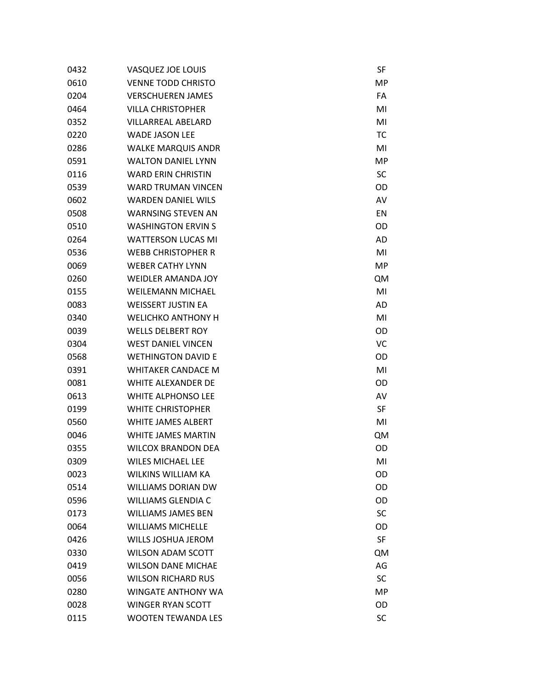| 0432 | <b>VASQUEZ JOE LOUIS</b>  | SF             |
|------|---------------------------|----------------|
| 0610 | <b>VENNE TODD CHRISTO</b> | MP             |
| 0204 | <b>VERSCHUEREN JAMES</b>  | FA             |
| 0464 | <b>VILLA CHRISTOPHER</b>  | MI             |
| 0352 | <b>VILLARREAL ABELARD</b> | MI             |
| 0220 | <b>WADE JASON LEE</b>     | <b>TC</b>      |
| 0286 | <b>WALKE MARQUIS ANDR</b> | MI             |
| 0591 | <b>WALTON DANIEL LYNN</b> | <b>MP</b>      |
| 0116 | <b>WARD ERIN CHRISTIN</b> | SC             |
| 0539 | <b>WARD TRUMAN VINCEN</b> | OD             |
| 0602 | <b>WARDEN DANIEL WILS</b> | AV             |
| 0508 | <b>WARNSING STEVEN AN</b> | EN             |
| 0510 | <b>WASHINGTON ERVIN S</b> | OD             |
| 0264 | <b>WATTERSON LUCAS MI</b> | AD             |
| 0536 | <b>WEBB CHRISTOPHER R</b> | MI             |
| 0069 | <b>WEBER CATHY LYNN</b>   | MP             |
| 0260 | <b>WEIDLER AMANDA JOY</b> | <b>QM</b>      |
| 0155 | <b>WEILEMANN MICHAEL</b>  | MI             |
| 0083 | <b>WEISSERT JUSTIN EA</b> | AD             |
| 0340 | <b>WELICHKO ANTHONY H</b> | M <sub>l</sub> |
| 0039 | <b>WELLS DELBERT ROY</b>  | OD             |
| 0304 | <b>WEST DANIEL VINCEN</b> | VC             |
| 0568 | <b>WETHINGTON DAVID E</b> | OD             |
| 0391 | <b>WHITAKER CANDACE M</b> | MI             |
| 0081 | <b>WHITE ALEXANDER DE</b> | OD             |
| 0613 | <b>WHITE ALPHONSO LEE</b> | AV             |
| 0199 | <b>WHITE CHRISTOPHER</b>  | SF             |
| 0560 | <b>WHITE JAMES ALBERT</b> | MI             |
| 0046 | WHITE JAMES MARTIN        | QM             |
| 0355 | <b>WILCOX BRANDON DEA</b> | OD             |
| 0309 | <b>WILES MICHAEL LEE</b>  | MI             |
| 0023 | <b>WILKINS WILLIAM KA</b> | OD             |
| 0514 | <b>WILLIAMS DORIAN DW</b> | OD             |
| 0596 | <b>WILLIAMS GLENDIA C</b> | OD             |
| 0173 | <b>WILLIAMS JAMES BEN</b> | SC             |
| 0064 | <b>WILLIAMS MICHELLE</b>  | OD             |
| 0426 | <b>WILLS JOSHUA JEROM</b> | SF             |
| 0330 | <b>WILSON ADAM SCOTT</b>  | QM             |
| 0419 | <b>WILSON DANE MICHAE</b> | AG             |
| 0056 | <b>WILSON RICHARD RUS</b> | SC             |
| 0280 | <b>WINGATE ANTHONY WA</b> | MP             |
| 0028 | <b>WINGER RYAN SCOTT</b>  | OD             |
| 0115 | <b>WOOTEN TEWANDA LES</b> | SC             |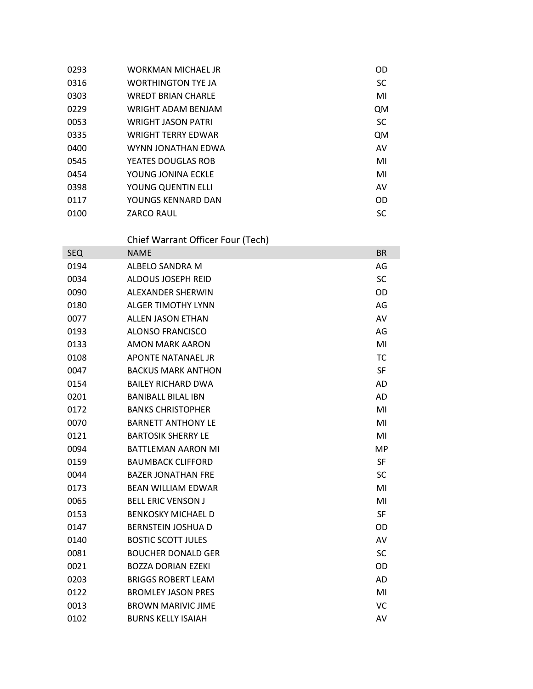| <b>WORKMAN MICHAEL JR</b> | OD        |
|---------------------------|-----------|
| <b>WORTHINGTON TYE JA</b> | SC        |
| <b>WREDT BRIAN CHARLE</b> | MI        |
| WRIGHT ADAM BENJAM        | QM        |
| <b>WRIGHT JASON PATRI</b> | SC        |
| <b>WRIGHT TFRRY FDWAR</b> | <b>QM</b> |
| WYNN JONATHAN EDWA        | AV        |
| YEATES DOUGLAS ROB        | MI        |
| YOUNG JONINA ECKLE        | MI        |
| YOUNG QUENTIN ELLI        | AV        |
| YOUNGS KENNARD DAN        | <b>OD</b> |
| <b>ZARCO RAUL</b>         | SC        |
|                           |           |

## Chief Warrant Officer Four (Tech)

| <b>SEQ</b> | <b>NAME</b>               | <b>BR</b> |
|------------|---------------------------|-----------|
| 0194       | ALBELO SANDRA M           | AG        |
| 0034       | <b>ALDOUS JOSEPH REID</b> | <b>SC</b> |
| 0090       | ALEXANDER SHERWIN         | OD        |
| 0180       | <b>ALGER TIMOTHY LYNN</b> | AG        |
| 0077       | <b>ALLEN JASON ETHAN</b>  | AV        |
| 0193       | <b>ALONSO FRANCISCO</b>   | AG        |
| 0133       | <b>AMON MARK AARON</b>    | MI        |
| 0108       | <b>APONTE NATANAEL JR</b> | <b>TC</b> |
| 0047       | <b>BACKUS MARK ANTHON</b> | <b>SF</b> |
| 0154       | <b>BAILEY RICHARD DWA</b> | <b>AD</b> |
| 0201       | <b>BANIBALL BILAL IBN</b> | <b>AD</b> |
| 0172       | <b>BANKS CHRISTOPHER</b>  | MI        |
| 0070       | <b>BARNETT ANTHONY LE</b> | MI        |
| 0121       | <b>BARTOSIK SHERRY LE</b> | MI        |
| 0094       | <b>BATTLEMAN AARON MI</b> | <b>MP</b> |
| 0159       | <b>BAUMBACK CLIFFORD</b>  | <b>SF</b> |
| 0044       | <b>BAZER JONATHAN FRE</b> | <b>SC</b> |
| 0173       | <b>BEAN WILLIAM EDWAR</b> | MI        |
| 0065       | <b>BELL ERIC VENSON J</b> | MI        |
| 0153       | <b>BENKOSKY MICHAEL D</b> | <b>SF</b> |
| 0147       | <b>BERNSTEIN JOSHUA D</b> | OD        |
| 0140       | <b>BOSTIC SCOTT JULES</b> | AV        |
| 0081       | <b>BOUCHER DONALD GER</b> | SC        |
| 0021       | <b>BOZZA DORIAN EZEKI</b> | OD        |
| 0203       | <b>BRIGGS ROBERT LEAM</b> | <b>AD</b> |
| 0122       | <b>BROMLEY JASON PRES</b> | MI        |
| 0013       | <b>BROWN MARIVIC JIME</b> | VC        |
| 0102       | <b>BURNS KELLY ISAIAH</b> | AV        |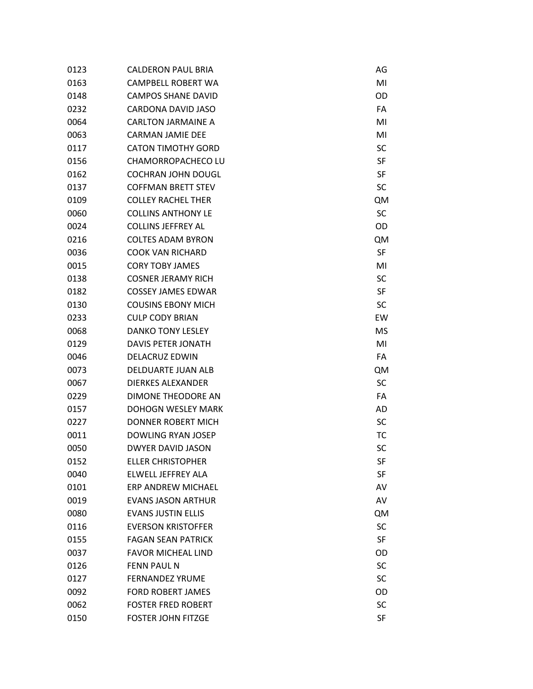| 0123 | <b>CALDERON PAUL BRIA</b> | AG        |
|------|---------------------------|-----------|
| 0163 | CAMPBELL ROBERT WA        | MI        |
| 0148 | <b>CAMPOS SHANE DAVID</b> | OD        |
| 0232 | CARDONA DAVID JASO        | FA        |
| 0064 | <b>CARLTON JARMAINE A</b> | MI        |
| 0063 | <b>CARMAN JAMIE DEE</b>   | MI        |
| 0117 | <b>CATON TIMOTHY GORD</b> | SC        |
| 0156 | CHAMORROPACHECO LU        | SF        |
| 0162 | <b>COCHRAN JOHN DOUGL</b> | SF        |
| 0137 | <b>COFFMAN BRETT STEV</b> | SC        |
| 0109 | <b>COLLEY RACHEL THER</b> | <b>QM</b> |
| 0060 | <b>COLLINS ANTHONY LE</b> | <b>SC</b> |
| 0024 | <b>COLLINS JEFFREY AL</b> | OD        |
| 0216 | <b>COLTES ADAM BYRON</b>  | <b>QM</b> |
| 0036 | <b>COOK VAN RICHARD</b>   | SF        |
| 0015 | <b>CORY TOBY JAMES</b>    | MI        |
| 0138 | <b>COSNER JERAMY RICH</b> | SC        |
| 0182 | <b>COSSEY JAMES EDWAR</b> | SF        |
| 0130 | <b>COUSINS EBONY MICH</b> | SC        |
| 0233 | <b>CULP CODY BRIAN</b>    | EW        |
| 0068 | <b>DANKO TONY LESLEY</b>  | ΜS        |
| 0129 | <b>DAVIS PETER JONATH</b> | MI        |
| 0046 | <b>DELACRUZ EDWIN</b>     | FA        |
| 0073 | DELDUARTE JUAN ALB        | <b>QM</b> |
| 0067 | <b>DIERKES ALEXANDER</b>  | SC        |
| 0229 | DIMONE THEODORE AN        | FA        |
| 0157 | <b>DOHOGN WESLEY MARK</b> | AD        |
| 0227 | <b>DONNER ROBERT MICH</b> | SC        |
| 0011 | <b>DOWLING RYAN JOSEP</b> | <b>TC</b> |
| 0050 | <b>DWYER DAVID JASON</b>  | SC        |
| 0152 | <b>ELLER CHRISTOPHER</b>  | SF        |
| 0040 | ELWELL JEFFREY ALA        | SF        |
| 0101 | <b>ERP ANDREW MICHAEL</b> | AV        |
| 0019 | <b>EVANS JASON ARTHUR</b> | AV        |
| 0080 | <b>EVANS JUSTIN ELLIS</b> | <b>QM</b> |
| 0116 | <b>EVERSON KRISTOFFER</b> | SC        |
| 0155 | <b>FAGAN SEAN PATRICK</b> | SF        |
| 0037 | <b>FAVOR MICHEAL LIND</b> | OD        |
| 0126 | <b>FENN PAUL N</b>        | SC        |
| 0127 | <b>FERNANDEZ YRUME</b>    | SC        |
| 0092 | <b>FORD ROBERT JAMES</b>  | OD        |
| 0062 | <b>FOSTER FRED ROBERT</b> | SC        |
| 0150 | <b>FOSTER JOHN FITZGE</b> | SF        |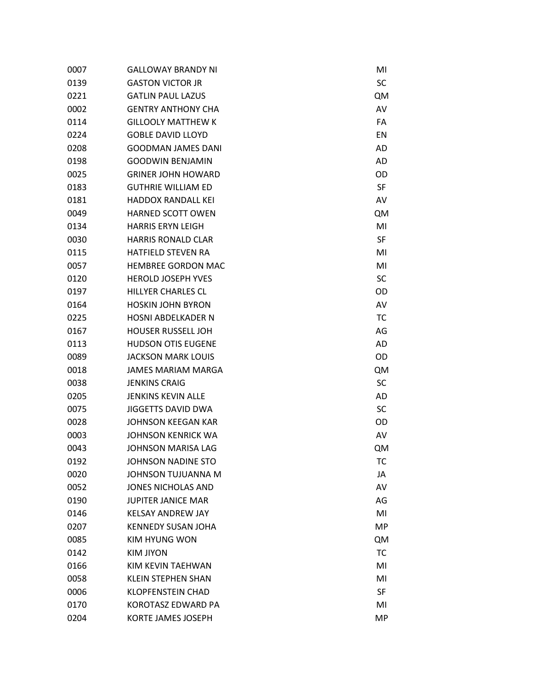| 0007 | <b>GALLOWAY BRANDY NI</b> | MI        |
|------|---------------------------|-----------|
| 0139 | <b>GASTON VICTOR JR</b>   | SC        |
| 0221 | <b>GATLIN PAUL LAZUS</b>  | <b>QM</b> |
| 0002 | <b>GENTRY ANTHONY CHA</b> | AV        |
| 0114 | <b>GILLOOLY MATTHEW K</b> | FA        |
| 0224 | <b>GOBLE DAVID LLOYD</b>  | EN        |
| 0208 | <b>GOODMAN JAMES DANI</b> | AD        |
| 0198 | <b>GOODWIN BENJAMIN</b>   | AD        |
| 0025 | <b>GRINER JOHN HOWARD</b> | OD        |
| 0183 | <b>GUTHRIE WILLIAM ED</b> | SF        |
| 0181 | <b>HADDOX RANDALL KEI</b> | AV        |
| 0049 | <b>HARNED SCOTT OWEN</b>  | QM        |
| 0134 | <b>HARRIS ERYN LEIGH</b>  | MI        |
| 0030 | <b>HARRIS RONALD CLAR</b> | SF        |
| 0115 | <b>HATFIELD STEVEN RA</b> | MI        |
| 0057 | <b>HEMBREE GORDON MAC</b> | MI        |
| 0120 | <b>HEROLD JOSEPH YVES</b> | SC        |
| 0197 | <b>HILLYER CHARLES CL</b> | OD        |
| 0164 | <b>HOSKIN JOHN BYRON</b>  | AV        |
| 0225 | <b>HOSNI ABDELKADER N</b> | TC        |
| 0167 | <b>HOUSER RUSSELL JOH</b> | AG        |
| 0113 | <b>HUDSON OTIS EUGENE</b> | AD        |
| 0089 | <b>JACKSON MARK LOUIS</b> | OD        |
| 0018 | <b>JAMES MARIAM MARGA</b> | <b>QM</b> |
| 0038 | <b>JENKINS CRAIG</b>      | SC        |
| 0205 | <b>JENKINS KEVIN ALLE</b> | AD        |
| 0075 | <b>JIGGETTS DAVID DWA</b> | SC        |
| 0028 | <b>JOHNSON KEEGAN KAR</b> | OD        |
| 0003 | <b>JOHNSON KENRICK WA</b> | AV        |
| 0043 | JOHNSON MARISA LAG        | <b>QM</b> |
| 0192 | <b>JOHNSON NADINE STO</b> | TC        |
| 0020 | JOHNSON TUJUANNA M        | JA        |
| 0052 | <b>JONES NICHOLAS AND</b> | AV        |
| 0190 | <b>JUPITER JANICE MAR</b> | AG        |
| 0146 | <b>KELSAY ANDREW JAY</b>  | MI        |
| 0207 | <b>KENNEDY SUSAN JOHA</b> | <b>MP</b> |
| 0085 | KIM HYUNG WON             | <b>QM</b> |
| 0142 | <b>KIM JIYON</b>          | TC        |
| 0166 | KIM KEVIN TAEHWAN         | MI        |
| 0058 | <b>KLEIN STEPHEN SHAN</b> | MI        |
| 0006 | <b>KLOPFENSTEIN CHAD</b>  | SF        |
| 0170 | KOROTASZ EDWARD PA        | MI        |
| 0204 | <b>KORTE JAMES JOSEPH</b> | MP        |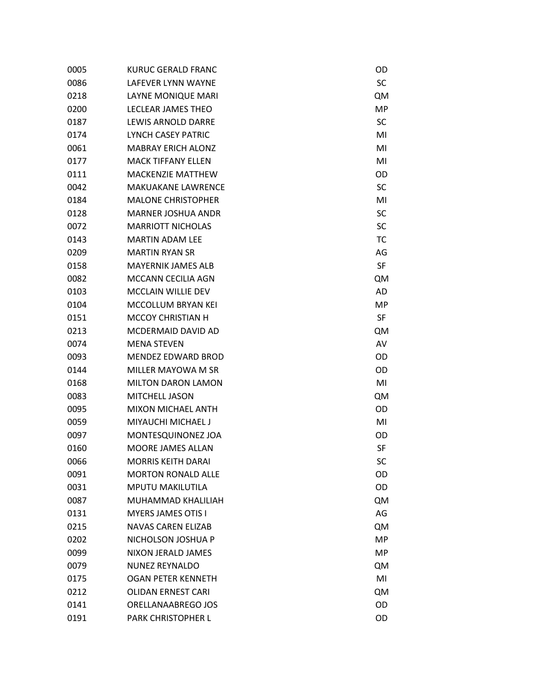| 0005 | KURUC GERALD FRANC        | OD        |
|------|---------------------------|-----------|
| 0086 | <b>LAFFVER LYNN WAYNF</b> | SC        |
| 0218 | LAYNE MONIQUE MARI        | <b>QM</b> |
| 0200 | LECLEAR JAMES THEO        | <b>MP</b> |
| 0187 | LEWIS ARNOLD DARRE        | <b>SC</b> |
| 0174 | LYNCH CASEY PATRIC        | MI        |
| 0061 | <b>MABRAY ERICH ALONZ</b> | MI        |
| 0177 | <b>MACK TIFFANY ELLEN</b> | MI        |
| 0111 | <b>MACKENZIE MATTHEW</b>  | OD        |
| 0042 | <b>MAKUAKANE LAWRENCE</b> | <b>SC</b> |
| 0184 | <b>MALONE CHRISTOPHER</b> | MI        |
| 0128 | <b>MARNER JOSHUA ANDR</b> | SC        |
| 0072 | <b>MARRIOTT NICHOLAS</b>  | <b>SC</b> |
| 0143 | <b>MARTIN ADAM LFF</b>    | <b>TC</b> |
| 0209 | <b>MARTIN RYAN SR</b>     | AG        |
| 0158 | <b>MAYERNIK JAMES ALB</b> | SF        |
| 0082 | MCCANN CECILIA AGN        | <b>QM</b> |
| 0103 | <b>MCCLAIN WILLIE DEV</b> | <b>AD</b> |
| 0104 | <b>MCCOLLUM BRYAN KEI</b> | MP        |
| 0151 | <b>MCCOY CHRISTIAN H</b>  | SF        |
| 0213 | MCDERMAID DAVID AD        | <b>QM</b> |
| 0074 | <b>MENA STEVEN</b>        | AV        |
| 0093 | <b>MENDEZ EDWARD BROD</b> | OD        |
| 0144 | MILLER MAYOWA M SR        | OD        |
| 0168 | <b>MILTON DARON LAMON</b> | MI        |
| 0083 | MITCHELL JASON            | <b>QM</b> |
| 0095 | <b>MIXON MICHAEL ANTH</b> | OD        |
| 0059 | MIYAUCHI MICHAEL J        | MI        |
| 0097 | MONTESQUINONEZ JOA        | OD        |
| 0160 | <b>MOORE JAMES ALLAN</b>  | SF        |
| 0066 | <b>MORRIS KEITH DARAI</b> | SC        |
| 0091 | <b>MORTON RONALD ALLE</b> | OD        |
| 0031 | <b>MPUTU MAKILUTILA</b>   | OD        |
| 0087 | MUHAMMAD KHALILIAH        | <b>QM</b> |
| 0131 | <b>MYERS JAMES OTIS I</b> | AG        |
| 0215 | <b>NAVAS CAREN ELIZAB</b> | <b>QM</b> |
| 0202 | NICHOLSON JOSHUA P        | MP        |
| 0099 | NIXON JERALD JAMES        | <b>MP</b> |
| 0079 | <b>NUNEZ REYNALDO</b>     | QM        |
| 0175 | <b>OGAN PETER KENNETH</b> | MI        |
| 0212 | <b>OLIDAN ERNEST CARI</b> | <b>QM</b> |
| 0141 | ORELLANAABREGO JOS        | OD        |
| 0191 | PARK CHRISTOPHER L        | OD        |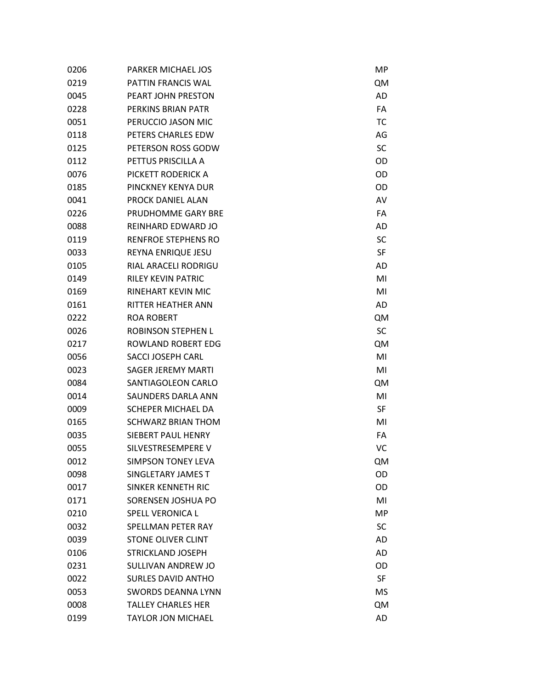| 0206 | <b>PARKER MICHAEL JOS</b>  | МP             |
|------|----------------------------|----------------|
| 0219 | PATTIN FRANCIS WAL         | <b>QM</b>      |
| 0045 | PEART JOHN PRESTON         | AD             |
| 0228 | PERKINS BRIAN PATR         | FA             |
| 0051 | PERUCCIO JASON MIC         | TC             |
| 0118 | PETERS CHARLES EDW         | AG             |
| 0125 | PETERSON ROSS GODW         | SC             |
| 0112 | PETTUS PRISCILLA A         | OD             |
| 0076 | PICKETT RODERICK A         | OD             |
| 0185 | PINCKNEY KENYA DUR         | OD             |
| 0041 | PROCK DANIEL ALAN          | AV             |
| 0226 | PRUDHOMME GARY BRE         | FA             |
| 0088 | REINHARD EDWARD JO         | AD             |
| 0119 | <b>RENFROE STEPHENS RO</b> | SC             |
| 0033 | REYNA ENRIQUE JESU         | SF             |
| 0105 | RIAL ARACELI RODRIGU       | AD             |
| 0149 | <b>RILFY KFVIN PATRIC</b>  | MI             |
| 0169 | RINEHART KEVIN MIC         | M <sub>l</sub> |
| 0161 | RITTER HEATHER ANN         | <b>AD</b>      |
| 0222 | <b>ROA ROBERT</b>          | <b>QM</b>      |
| 0026 | <b>ROBINSON STEPHEN L</b>  | SC             |
| 0217 | ROWLAND ROBERT EDG         | <b>QM</b>      |
| 0056 | <b>SACCI JOSEPH CARL</b>   | MI             |
| 0023 | SAGER JEREMY MARTI         | MI             |
| 0084 | SANTIAGOLEON CARLO         | QM             |
| 0014 | SAUNDERS DARLA ANN         | MI             |
| 0009 | <b>SCHEPER MICHAEL DA</b>  | <b>SF</b>      |
| 0165 | <b>SCHWARZ BRIAN THOM</b>  | MI             |
| 0035 | SIEBERT PAUL HENRY         | FA             |
| 0055 | SILVESTRESEMPERE V         | VC             |
| 0012 | <b>SIMPSON TONEY LEVA</b>  | <b>QM</b>      |
| 0098 | SINGLETARY JAMES T         | OD             |
| 0017 | SINKER KENNETH RIC         | OD             |
| 0171 | SORENSEN JOSHUA PO         | MI             |
| 0210 | <b>SPELL VERONICA L</b>    | MP             |
| 0032 | <b>SPELLMAN PETER RAY</b>  | SC             |
| 0039 | <b>STONE OLIVER CLINT</b>  | <b>AD</b>      |
| 0106 | <b>STRICKLAND JOSEPH</b>   | AD             |
| 0231 | SULLIVAN ANDREW JO         | OD             |
| 0022 | <b>SURLES DAVID ANTHO</b>  | <b>SF</b>      |
| 0053 | <b>SWORDS DEANNA LYNN</b>  | MS             |
| 0008 | <b>TALLEY CHARLES HER</b>  | <b>QM</b>      |
| 0199 | <b>TAYLOR JON MICHAEL</b>  | <b>AD</b>      |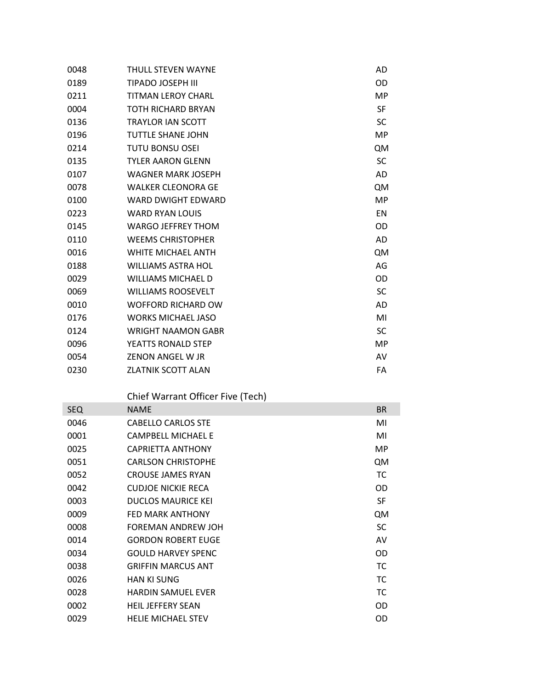| 0048 | <b>THULL STEVEN WAYNE</b> | AD        |
|------|---------------------------|-----------|
| 0189 | <b>TIPADO JOSEPH III</b>  | OD        |
| 0211 | <b>TITMAN LEROY CHARL</b> | MP        |
| 0004 | <b>TOTH RICHARD BRYAN</b> | <b>SF</b> |
| 0136 | <b>TRAYLOR IAN SCOTT</b>  | <b>SC</b> |
| 0196 | <b>TUTTLE SHANE JOHN</b>  | MP        |
| 0214 | <b>TUTU BONSU OSEI</b>    | QM        |
| 0135 | <b>TYLER AARON GLENN</b>  | <b>SC</b> |
| 0107 | <b>WAGNER MARK JOSEPH</b> | <b>AD</b> |
| 0078 | <b>WALKER CLEONORA GE</b> | QM        |
| 0100 | <b>WARD DWIGHT EDWARD</b> | MP        |
| 0223 | <b>WARD RYAN LOUIS</b>    | <b>EN</b> |
| 0145 | <b>WARGO JEFFREY THOM</b> | OD        |
| 0110 | <b>WEEMS CHRISTOPHER</b>  | AD        |
| 0016 | WHITE MICHAEL ANTH        | QM        |
| 0188 | <b>WILLIAMS ASTRA HOL</b> | AG        |
| 0029 | <b>WILLIAMS MICHAEL D</b> | OD        |
| 0069 | <b>WILLIAMS ROOSEVELT</b> | <b>SC</b> |
| 0010 | <b>WOFFORD RICHARD OW</b> | AD        |
| 0176 | <b>WORKS MICHAEL JASO</b> | MI        |
| 0124 | <b>WRIGHT NAAMON GABR</b> | <b>SC</b> |
| 0096 | YEATTS RONALD STEP        | MP        |
| 0054 | ZENON ANGEL W JR          | AV        |
| 0230 | <b>ZLATNIK SCOTT ALAN</b> | FA        |
|      |                           |           |

Chief Warrant Officer Five (Tech)

| <b>SEQ</b> | <b>NAME</b>               | <b>BR</b> |
|------------|---------------------------|-----------|
| 0046       | <b>CABELLO CARLOS STE</b> | MI        |
| 0001       | <b>CAMPBELL MICHAEL E</b> | MI        |
| 0025       | <b>CAPRIETTA ANTHONY</b>  | MP.       |
| 0051       | <b>CARLSON CHRISTOPHE</b> | QM        |
| 0052       | <b>CROUSE JAMES RYAN</b>  | ТC        |
| 0042       | <b>CUDJOE NICKIE RECA</b> | OD.       |
| 0003       | <b>DUCLOS MAURICE KEI</b> | <b>SF</b> |
| 0009       | <b>FFD MARK ANTHONY</b>   | QM        |
| 0008       | FOREMAN ANDREW JOH        | <b>SC</b> |
| 0014       | <b>GORDON ROBERT EUGE</b> | AV        |
| 0034       | <b>GOULD HARVEY SPENC</b> | OD.       |
| 0038       | <b>GRIFFIN MARCUS ANT</b> | ТC        |
| 0026       | <b>HAN KI SUNG</b>        | ТC        |
| 0028       | <b>HARDIN SAMUFL FVFR</b> | ТC        |
| 0002       | <b>HEIL JEFFERY SEAN</b>  | OD        |
| 0029       | <b>HELIE MICHAEL STEV</b> | OD        |